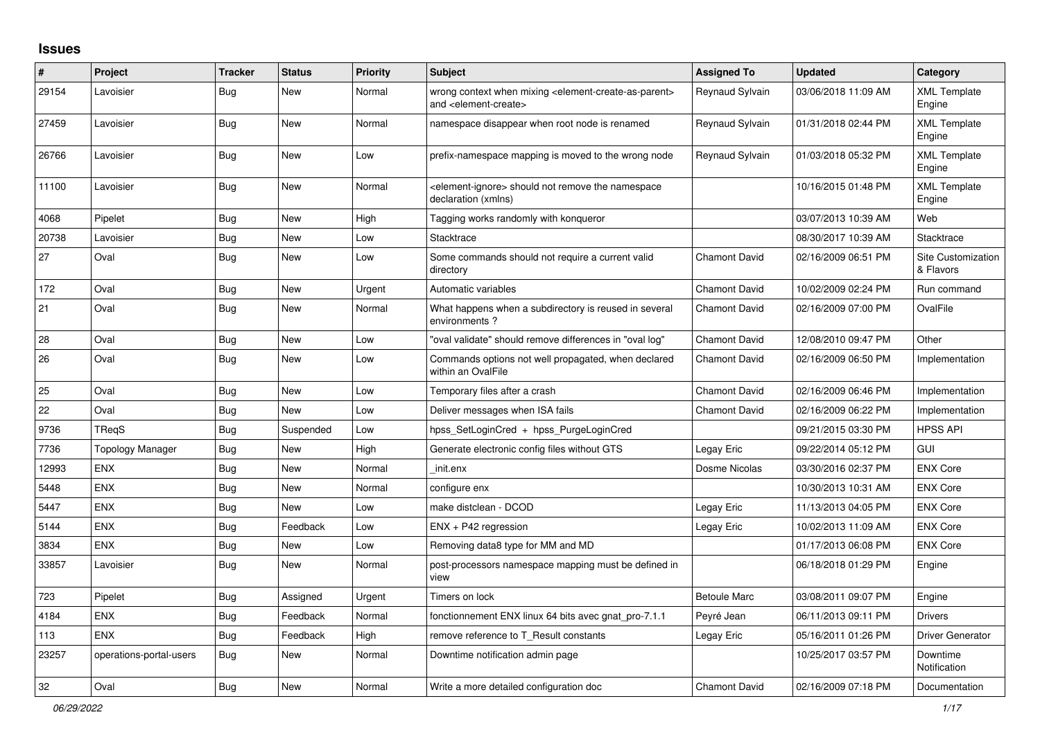## **Issues**

| #     | Project                 | <b>Tracker</b> | <b>Status</b> | <b>Priority</b> | <b>Subject</b>                                                                                                            | <b>Assigned To</b>   | <b>Updated</b>      | Category                        |
|-------|-------------------------|----------------|---------------|-----------------|---------------------------------------------------------------------------------------------------------------------------|----------------------|---------------------|---------------------------------|
| 29154 | Lavoisier               | Bug            | New           | Normal          | wrong context when mixing <element-create-as-parent><br/>and <element-create></element-create></element-create-as-parent> | Reynaud Sylvain      | 03/06/2018 11:09 AM | <b>XML Template</b><br>Engine   |
| 27459 | Lavoisier               | <b>Bug</b>     | <b>New</b>    | Normal          | namespace disappear when root node is renamed                                                                             | Reynaud Sylvain      | 01/31/2018 02:44 PM | <b>XML Template</b><br>Engine   |
| 26766 | Lavoisier               | <b>Bug</b>     | <b>New</b>    | Low             | prefix-namespace mapping is moved to the wrong node                                                                       | Reynaud Sylvain      | 01/03/2018 05:32 PM | <b>XML Template</b><br>Engine   |
| 11100 | Lavoisier               | <b>Bug</b>     | New           | Normal          | element-ignore> should not remove the namespace<br>declaration (xmlns)                                                    |                      | 10/16/2015 01:48 PM | <b>XML Template</b><br>Engine   |
| 4068  | Pipelet                 | Bug            | <b>New</b>    | High            | Tagging works randomly with konqueror                                                                                     |                      | 03/07/2013 10:39 AM | Web                             |
| 20738 | Lavoisier               | <b>Bug</b>     | New           | Low             | Stacktrace                                                                                                                |                      | 08/30/2017 10:39 AM | Stacktrace                      |
| 27    | Oval                    | Bug            | <b>New</b>    | Low             | Some commands should not require a current valid<br>directory                                                             | <b>Chamont David</b> | 02/16/2009 06:51 PM | Site Customization<br>& Flavors |
| 172   | Oval                    | <b>Bug</b>     | <b>New</b>    | Urgent          | Automatic variables                                                                                                       | <b>Chamont David</b> | 10/02/2009 02:24 PM | Run command                     |
| 21    | Oval                    | <b>Bug</b>     | New           | Normal          | What happens when a subdirectory is reused in several<br>environments?                                                    | <b>Chamont David</b> | 02/16/2009 07:00 PM | OvalFile                        |
| 28    | Oval                    | Bug            | <b>New</b>    | Low             | "oval validate" should remove differences in "oval log"                                                                   | <b>Chamont David</b> | 12/08/2010 09:47 PM | Other                           |
| 26    | Oval                    | Bug            | New           | Low             | Commands options not well propagated, when declared<br>within an OvalFile                                                 | <b>Chamont David</b> | 02/16/2009 06:50 PM | Implementation                  |
| 25    | Oval                    | <b>Bug</b>     | <b>New</b>    | Low             | Temporary files after a crash                                                                                             | <b>Chamont David</b> | 02/16/2009 06:46 PM | Implementation                  |
| 22    | Oval                    | Bug            | <b>New</b>    | Low             | Deliver messages when ISA fails                                                                                           | <b>Chamont David</b> | 02/16/2009 06:22 PM | Implementation                  |
| 9736  | <b>TRegS</b>            | <b>Bug</b>     | Suspended     | Low             | hpss SetLoginCred + hpss PurgeLoginCred                                                                                   |                      | 09/21/2015 03:30 PM | <b>HPSS API</b>                 |
| 7736  | <b>Topology Manager</b> | Bug            | <b>New</b>    | High            | Generate electronic config files without GTS                                                                              | Legay Eric           | 09/22/2014 05:12 PM | GUI                             |
| 12993 | <b>ENX</b>              | <b>Bug</b>     | New           | Normal          | init.enx                                                                                                                  | Dosme Nicolas        | 03/30/2016 02:37 PM | <b>ENX Core</b>                 |
| 5448  | <b>ENX</b>              | <b>Bug</b>     | <b>New</b>    | Normal          | configure enx                                                                                                             |                      | 10/30/2013 10:31 AM | <b>ENX Core</b>                 |
| 5447  | <b>ENX</b>              | <b>Bug</b>     | <b>New</b>    | Low             | make distclean - DCOD                                                                                                     | Legay Eric           | 11/13/2013 04:05 PM | <b>ENX Core</b>                 |
| 5144  | <b>ENX</b>              | <b>Bug</b>     | Feedback      | Low             | ENX + P42 regression                                                                                                      | Legay Eric           | 10/02/2013 11:09 AM | <b>ENX Core</b>                 |
| 3834  | <b>ENX</b>              | <b>Bug</b>     | New           | Low             | Removing data8 type for MM and MD                                                                                         |                      | 01/17/2013 06:08 PM | <b>ENX Core</b>                 |
| 33857 | Lavoisier               | <b>Bug</b>     | New           | Normal          | post-processors namespace mapping must be defined in<br>view                                                              |                      | 06/18/2018 01:29 PM | Engine                          |
| 723   | Pipelet                 | Bug            | Assigned      | Urgent          | Timers on lock                                                                                                            | <b>Betoule Marc</b>  | 03/08/2011 09:07 PM | Engine                          |
| 4184  | <b>ENX</b>              | Bug            | Feedback      | Normal          | fonctionnement ENX linux 64 bits avec gnat pro-7.1.1                                                                      | Peyré Jean           | 06/11/2013 09:11 PM | <b>Drivers</b>                  |
| 113   | <b>ENX</b>              | <b>Bug</b>     | Feedback      | High            | remove reference to T Result constants                                                                                    | Legay Eric           | 05/16/2011 01:26 PM | <b>Driver Generator</b>         |
| 23257 | operations-portal-users | <b>Bug</b>     | <b>New</b>    | Normal          | Downtime notification admin page                                                                                          |                      | 10/25/2017 03:57 PM | Downtime<br>Notification        |
| 32    | Oval                    | <b>Bug</b>     | <b>New</b>    | Normal          | Write a more detailed configuration doc                                                                                   | <b>Chamont David</b> | 02/16/2009 07:18 PM | Documentation                   |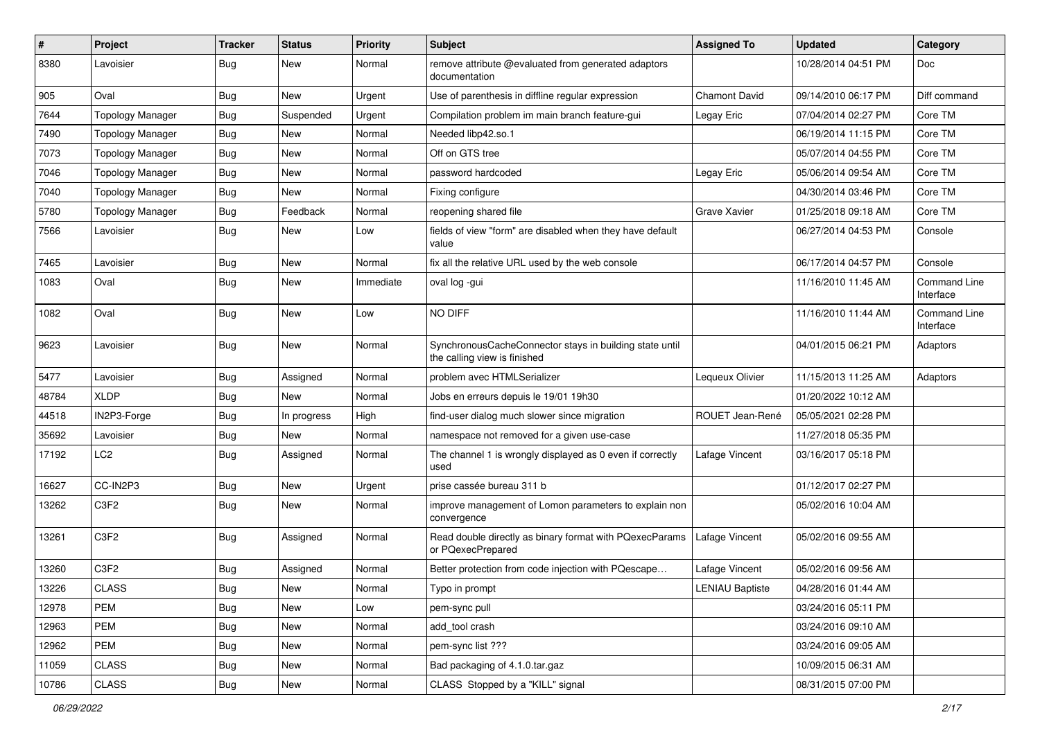| $\#$  | Project                       | <b>Tracker</b> | <b>Status</b> | <b>Priority</b> | <b>Subject</b>                                                                          | <b>Assigned To</b>     | <b>Updated</b>      | Category                         |
|-------|-------------------------------|----------------|---------------|-----------------|-----------------------------------------------------------------------------------------|------------------------|---------------------|----------------------------------|
| 8380  | Lavoisier                     | <b>Bug</b>     | New           | Normal          | remove attribute @evaluated from generated adaptors<br>documentation                    |                        | 10/28/2014 04:51 PM | Doc                              |
| 905   | Oval                          | Bug            | New           | Urgent          | Use of parenthesis in diffline regular expression                                       | <b>Chamont David</b>   | 09/14/2010 06:17 PM | Diff command                     |
| 7644  | <b>Topology Manager</b>       | <b>Bug</b>     | Suspended     | Urgent          | Compilation problem im main branch feature-gui                                          | Legay Eric             | 07/04/2014 02:27 PM | Core TM                          |
| 7490  | <b>Topology Manager</b>       | <b>Bug</b>     | New           | Normal          | Needed libp42.so.1                                                                      |                        | 06/19/2014 11:15 PM | Core TM                          |
| 7073  | <b>Topology Manager</b>       | <b>Bug</b>     | New           | Normal          | Off on GTS tree                                                                         |                        | 05/07/2014 04:55 PM | Core TM                          |
| 7046  | <b>Topology Manager</b>       | <b>Bug</b>     | New           | Normal          | password hardcoded                                                                      | Legay Eric             | 05/06/2014 09:54 AM | Core TM                          |
| 7040  | <b>Topology Manager</b>       | <b>Bug</b>     | New           | Normal          | Fixing configure                                                                        |                        | 04/30/2014 03:46 PM | Core TM                          |
| 5780  | <b>Topology Manager</b>       | <b>Bug</b>     | Feedback      | Normal          | reopening shared file                                                                   | Grave Xavier           | 01/25/2018 09:18 AM | Core TM                          |
| 7566  | Lavoisier                     | <b>Bug</b>     | New           | Low             | fields of view "form" are disabled when they have default<br>value                      |                        | 06/27/2014 04:53 PM | Console                          |
| 7465  | Lavoisier                     | <b>Bug</b>     | New           | Normal          | fix all the relative URL used by the web console                                        |                        | 06/17/2014 04:57 PM | Console                          |
| 1083  | Oval                          | Bug            | <b>New</b>    | Immediate       | oval log -gui                                                                           |                        | 11/16/2010 11:45 AM | <b>Command Line</b><br>Interface |
| 1082  | Oval                          | Bug            | New           | Low             | NO DIFF                                                                                 |                        | 11/16/2010 11:44 AM | <b>Command Line</b><br>Interface |
| 9623  | Lavoisier                     | <b>Bug</b>     | <b>New</b>    | Normal          | SynchronousCacheConnector stays in building state until<br>the calling view is finished |                        | 04/01/2015 06:21 PM | Adaptors                         |
| 5477  | Lavoisier                     | <b>Bug</b>     | Assigned      | Normal          | problem avec HTMLSerializer                                                             | Lequeux Olivier        | 11/15/2013 11:25 AM | Adaptors                         |
| 48784 | <b>XLDP</b>                   | <b>Bug</b>     | New           | Normal          | Jobs en erreurs depuis le 19/01 19h30                                                   |                        | 01/20/2022 10:12 AM |                                  |
| 44518 | IN2P3-Forge                   | <b>Bug</b>     | In progress   | High            | find-user dialog much slower since migration                                            | ROUET Jean-René        | 05/05/2021 02:28 PM |                                  |
| 35692 | Lavoisier                     | <b>Bug</b>     | New           | Normal          | namespace not removed for a given use-case                                              |                        | 11/27/2018 05:35 PM |                                  |
| 17192 | LC <sub>2</sub>               | <b>Bug</b>     | Assigned      | Normal          | The channel 1 is wrongly displayed as 0 even if correctly<br>used                       | Lafage Vincent         | 03/16/2017 05:18 PM |                                  |
| 16627 | CC-IN2P3                      | <b>Bug</b>     | <b>New</b>    | Urgent          | prise cassée bureau 311 b                                                               |                        | 01/12/2017 02:27 PM |                                  |
| 13262 | C <sub>3</sub> F <sub>2</sub> | <b>Bug</b>     | New           | Normal          | improve management of Lomon parameters to explain non<br>convergence                    |                        | 05/02/2016 10:04 AM |                                  |
| 13261 | C3F2                          | Bug            | Assigned      | Normal          | Read double directly as binary format with PQexecParams<br>or PQexecPrepared            | Lafage Vincent         | 05/02/2016 09:55 AM |                                  |
| 13260 | C <sub>3F2</sub>              | Bug            | Assigned      | Normal          | Better protection from code injection with PQescape                                     | Lafage Vincent         | 05/02/2016 09:56 AM |                                  |
| 13226 | <b>CLASS</b>                  | <b>Bug</b>     | New           | Normal          | Typo in prompt                                                                          | <b>LENIAU Baptiste</b> | 04/28/2016 01:44 AM |                                  |
| 12978 | PEM                           | <b>Bug</b>     | New           | Low             | pem-sync pull                                                                           |                        | 03/24/2016 05:11 PM |                                  |
| 12963 | PEM                           | <b>Bug</b>     | New           | Normal          | add tool crash                                                                          |                        | 03/24/2016 09:10 AM |                                  |
| 12962 | PEM                           | Bug            | New           | Normal          | pem-sync list ???                                                                       |                        | 03/24/2016 09:05 AM |                                  |
| 11059 | <b>CLASS</b>                  | <b>Bug</b>     | New           | Normal          | Bad packaging of 4.1.0.tar.gaz                                                          |                        | 10/09/2015 06:31 AM |                                  |
| 10786 | <b>CLASS</b>                  | <b>Bug</b>     | New           | Normal          | CLASS Stopped by a "KILL" signal                                                        |                        | 08/31/2015 07:00 PM |                                  |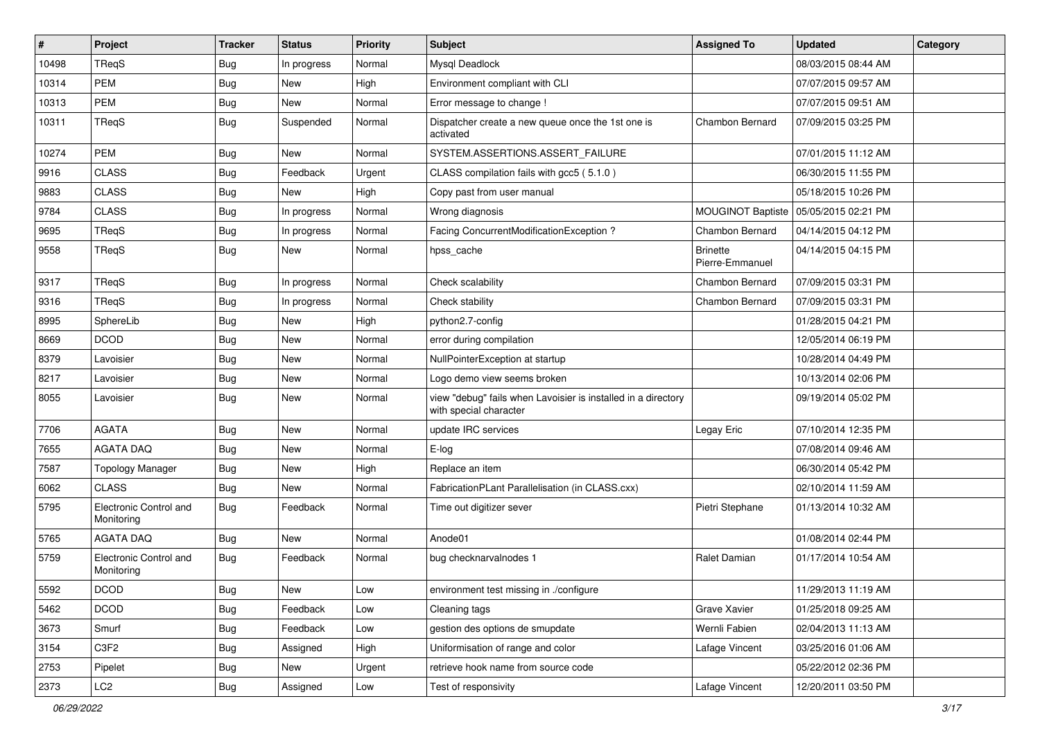| $\vert$ # | Project                              | <b>Tracker</b> | <b>Status</b> | <b>Priority</b> | <b>Subject</b>                                                                          | <b>Assigned To</b>                 | <b>Updated</b>      | Category |
|-----------|--------------------------------------|----------------|---------------|-----------------|-----------------------------------------------------------------------------------------|------------------------------------|---------------------|----------|
| 10498     | TReqS                                | <b>Bug</b>     | In progress   | Normal          | Mysql Deadlock                                                                          |                                    | 08/03/2015 08:44 AM |          |
| 10314     | <b>PEM</b>                           | Bug            | <b>New</b>    | High            | Environment compliant with CLI                                                          |                                    | 07/07/2015 09:57 AM |          |
| 10313     | <b>PEM</b>                           | Bug            | <b>New</b>    | Normal          | Error message to change !                                                               |                                    | 07/07/2015 09:51 AM |          |
| 10311     | TReqS                                | Bug            | Suspended     | Normal          | Dispatcher create a new queue once the 1st one is<br>activated                          | Chambon Bernard                    | 07/09/2015 03:25 PM |          |
| 10274     | PEM                                  | <b>Bug</b>     | <b>New</b>    | Normal          | SYSTEM.ASSERTIONS.ASSERT_FAILURE                                                        |                                    | 07/01/2015 11:12 AM |          |
| 9916      | <b>CLASS</b>                         | <b>Bug</b>     | Feedback      | Urgent          | CLASS compilation fails with gcc5 (5.1.0)                                               |                                    | 06/30/2015 11:55 PM |          |
| 9883      | <b>CLASS</b>                         | Bug            | <b>New</b>    | High            | Copy past from user manual                                                              |                                    | 05/18/2015 10:26 PM |          |
| 9784      | <b>CLASS</b>                         | Bug            | In progress   | Normal          | Wrong diagnosis                                                                         | MOUGINOT Baptiste                  | 05/05/2015 02:21 PM |          |
| 9695      | TReqS                                | <b>Bug</b>     | In progress   | Normal          | Facing ConcurrentModificationException?                                                 | Chambon Bernard                    | 04/14/2015 04:12 PM |          |
| 9558      | TReqS                                | <b>Bug</b>     | <b>New</b>    | Normal          | hpss_cache                                                                              | <b>Brinette</b><br>Pierre-Emmanuel | 04/14/2015 04:15 PM |          |
| 9317      | TReqS                                | <b>Bug</b>     | In progress   | Normal          | Check scalability                                                                       | Chambon Bernard                    | 07/09/2015 03:31 PM |          |
| 9316      | TReqS                                | <b>Bug</b>     | In progress   | Normal          | Check stability                                                                         | Chambon Bernard                    | 07/09/2015 03:31 PM |          |
| 8995      | SphereLib                            | <b>Bug</b>     | <b>New</b>    | High            | python2.7-config                                                                        |                                    | 01/28/2015 04:21 PM |          |
| 8669      | <b>DCOD</b>                          | Bug            | <b>New</b>    | Normal          | error during compilation                                                                |                                    | 12/05/2014 06:19 PM |          |
| 8379      | Lavoisier                            | <b>Bug</b>     | <b>New</b>    | Normal          | NullPointerException at startup                                                         |                                    | 10/28/2014 04:49 PM |          |
| 8217      | Lavoisier                            | <b>Bug</b>     | <b>New</b>    | Normal          | Logo demo view seems broken                                                             |                                    | 10/13/2014 02:06 PM |          |
| 8055      | Lavoisier                            | <b>Bug</b>     | <b>New</b>    | Normal          | view "debug" fails when Lavoisier is installed in a directory<br>with special character |                                    | 09/19/2014 05:02 PM |          |
| 7706      | <b>AGATA</b>                         | Bug            | <b>New</b>    | Normal          | update IRC services                                                                     | Legay Eric                         | 07/10/2014 12:35 PM |          |
| 7655      | <b>AGATA DAQ</b>                     | Bug            | <b>New</b>    | Normal          | E-log                                                                                   |                                    | 07/08/2014 09:46 AM |          |
| 7587      | <b>Topology Manager</b>              | <b>Bug</b>     | <b>New</b>    | High            | Replace an item                                                                         |                                    | 06/30/2014 05:42 PM |          |
| 6062      | <b>CLASS</b>                         | Bug            | <b>New</b>    | Normal          | FabricationPLant Parallelisation (in CLASS.cxx)                                         |                                    | 02/10/2014 11:59 AM |          |
| 5795      | Electronic Control and<br>Monitoring | Bug            | Feedback      | Normal          | Time out digitizer sever                                                                | Pietri Stephane                    | 01/13/2014 10:32 AM |          |
| 5765      | <b>AGATA DAQ</b>                     | <b>Bug</b>     | New           | Normal          | Anode01                                                                                 |                                    | 01/08/2014 02:44 PM |          |
| 5759      | Electronic Control and<br>Monitoring | Bug            | Feedback      | Normal          | bug checknarvalnodes 1                                                                  | Ralet Damian                       | 01/17/2014 10:54 AM |          |
| 5592      | $\sf DCOD$                           | <b>Bug</b>     | New           | Low             | environment test missing in ./configure                                                 |                                    | 11/29/2013 11:19 AM |          |
| 5462      | <b>DCOD</b>                          | Bug            | Feedback      | Low             | Cleaning tags                                                                           | Grave Xavier                       | 01/25/2018 09:25 AM |          |
| 3673      | Smurf                                | Bug            | Feedback      | Low             | gestion des options de smupdate                                                         | Wernli Fabien                      | 02/04/2013 11:13 AM |          |
| 3154      | C3F2                                 | <b>Bug</b>     | Assigned      | High            | Uniformisation of range and color                                                       | Lafage Vincent                     | 03/25/2016 01:06 AM |          |
| 2753      | Pipelet                              | Bug            | New           | Urgent          | retrieve hook name from source code                                                     |                                    | 05/22/2012 02:36 PM |          |
| 2373      | LC <sub>2</sub>                      | Bug            | Assigned      | Low             | Test of responsivity                                                                    | Lafage Vincent                     | 12/20/2011 03:50 PM |          |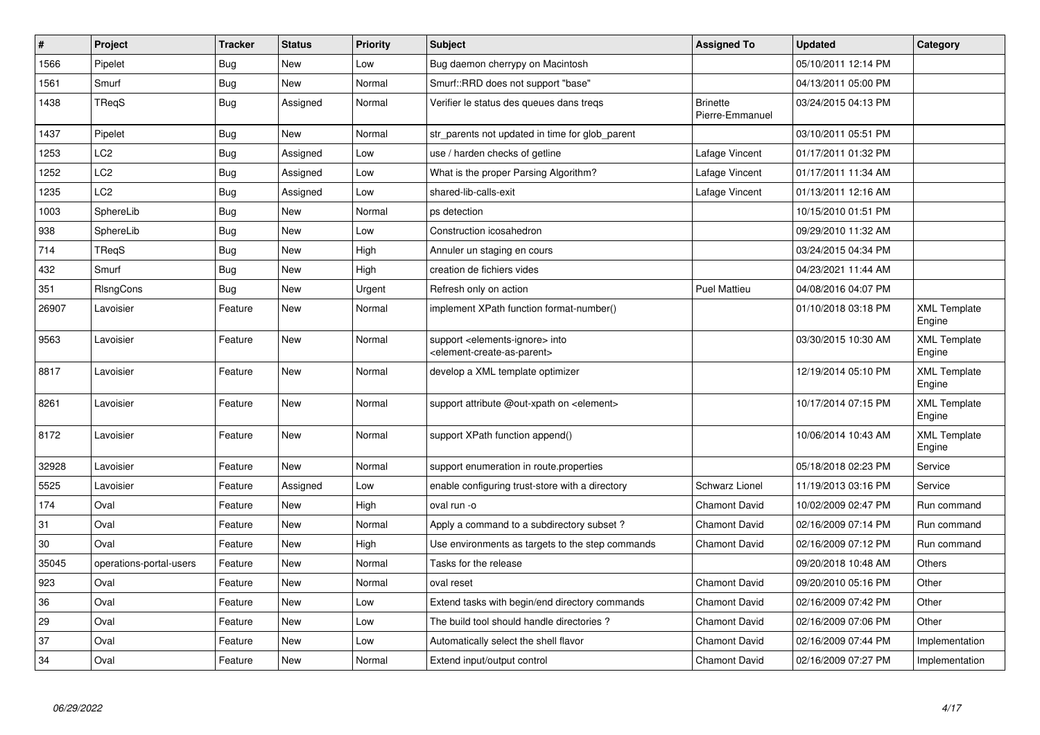| $\vert$ # | Project                 | <b>Tracker</b> | <b>Status</b> | <b>Priority</b> | <b>Subject</b>                                                                                             | <b>Assigned To</b>                 | <b>Updated</b>      | Category                      |
|-----------|-------------------------|----------------|---------------|-----------------|------------------------------------------------------------------------------------------------------------|------------------------------------|---------------------|-------------------------------|
| 1566      | Pipelet                 | <b>Bug</b>     | New           | Low             | Bug daemon cherrypy on Macintosh                                                                           |                                    | 05/10/2011 12:14 PM |                               |
| 1561      | Smurf                   | <b>Bug</b>     | New           | Normal          | Smurf::RRD does not support "base"                                                                         |                                    | 04/13/2011 05:00 PM |                               |
| 1438      | TRegS                   | <b>Bug</b>     | Assigned      | Normal          | Verifier le status des queues dans treqs                                                                   | <b>Brinette</b><br>Pierre-Emmanuel | 03/24/2015 04:13 PM |                               |
| 1437      | Pipelet                 | Bug            | New           | Normal          | str parents not updated in time for glob parent                                                            |                                    | 03/10/2011 05:51 PM |                               |
| 1253      | LC2                     | <b>Bug</b>     | Assigned      | Low             | use / harden checks of getline                                                                             | Lafage Vincent                     | 01/17/2011 01:32 PM |                               |
| 1252      | LC2                     | Bug            | Assigned      | Low             | What is the proper Parsing Algorithm?                                                                      | Lafage Vincent                     | 01/17/2011 11:34 AM |                               |
| 1235      | LC <sub>2</sub>         | <b>Bug</b>     | Assigned      | Low             | shared-lib-calls-exit                                                                                      | Lafage Vincent                     | 01/13/2011 12:16 AM |                               |
| 1003      | SphereLib               | Bug            | <b>New</b>    | Normal          | ps detection                                                                                               |                                    | 10/15/2010 01:51 PM |                               |
| 938       | SphereLib               | Bug            | New           | Low             | Construction icosahedron                                                                                   |                                    | 09/29/2010 11:32 AM |                               |
| 714       | TReqS                   | <b>Bug</b>     | New           | High            | Annuler un staging en cours                                                                                |                                    | 03/24/2015 04:34 PM |                               |
| 432       | Smurf                   | Bug            | New           | High            | creation de fichiers vides                                                                                 |                                    | 04/23/2021 11:44 AM |                               |
| 351       | RIsngCons               | Bug            | New           | Urgent          | Refresh only on action                                                                                     | <b>Puel Mattieu</b>                | 04/08/2016 04:07 PM |                               |
| 26907     | Lavoisier               | Feature        | New           | Normal          | implement XPath function format-number()                                                                   |                                    | 01/10/2018 03:18 PM | <b>XML Template</b><br>Engine |
| 9563      | Lavoisier               | Feature        | New           | Normal          | support <elements-ignore> into<br/><element-create-as-parent></element-create-as-parent></elements-ignore> |                                    | 03/30/2015 10:30 AM | <b>XML Template</b><br>Engine |
| 8817      | Lavoisier               | Feature        | New           | Normal          | develop a XML template optimizer                                                                           |                                    | 12/19/2014 05:10 PM | <b>XML Template</b><br>Engine |
| 8261      | Lavoisier               | Feature        | New           | Normal          | support attribute @out-xpath on <element></element>                                                        |                                    | 10/17/2014 07:15 PM | <b>XML Template</b><br>Engine |
| 8172      | Lavoisier               | Feature        | New           | Normal          | support XPath function append()                                                                            |                                    | 10/06/2014 10:43 AM | <b>XML Template</b><br>Engine |
| 32928     | Lavoisier               | Feature        | New           | Normal          | support enumeration in route properties                                                                    |                                    | 05/18/2018 02:23 PM | Service                       |
| 5525      | Lavoisier               | Feature        | Assigned      | Low             | enable configuring trust-store with a directory                                                            | <b>Schwarz Lionel</b>              | 11/19/2013 03:16 PM | Service                       |
| 174       | Oval                    | Feature        | <b>New</b>    | High            | oval run -o                                                                                                | <b>Chamont David</b>               | 10/02/2009 02:47 PM | Run command                   |
| 31        | Oval                    | Feature        | New           | Normal          | Apply a command to a subdirectory subset?                                                                  | <b>Chamont David</b>               | 02/16/2009 07:14 PM | Run command                   |
| 30        | Oval                    | Feature        | New           | High            | Use environments as targets to the step commands                                                           | <b>Chamont David</b>               | 02/16/2009 07:12 PM | Run command                   |
| 35045     | operations-portal-users | Feature        | New           | Normal          | Tasks for the release                                                                                      |                                    | 09/20/2018 10:48 AM | Others                        |
| 923       | Oval                    | Feature        | New           | Normal          | oval reset                                                                                                 | <b>Chamont David</b>               | 09/20/2010 05:16 PM | Other                         |
| 36        | Oval                    | Feature        | New           | Low             | Extend tasks with begin/end directory commands                                                             | <b>Chamont David</b>               | 02/16/2009 07:42 PM | Other                         |
| 29        | Oval                    | Feature        | New           | Low             | The build tool should handle directories?                                                                  | <b>Chamont David</b>               | 02/16/2009 07:06 PM | Other                         |
| 37        | Oval                    | Feature        | New           | Low             | Automatically select the shell flavor                                                                      | <b>Chamont David</b>               | 02/16/2009 07:44 PM | Implementation                |
| 34        | Oval                    | Feature        | New           | Normal          | Extend input/output control                                                                                | <b>Chamont David</b>               | 02/16/2009 07:27 PM | Implementation                |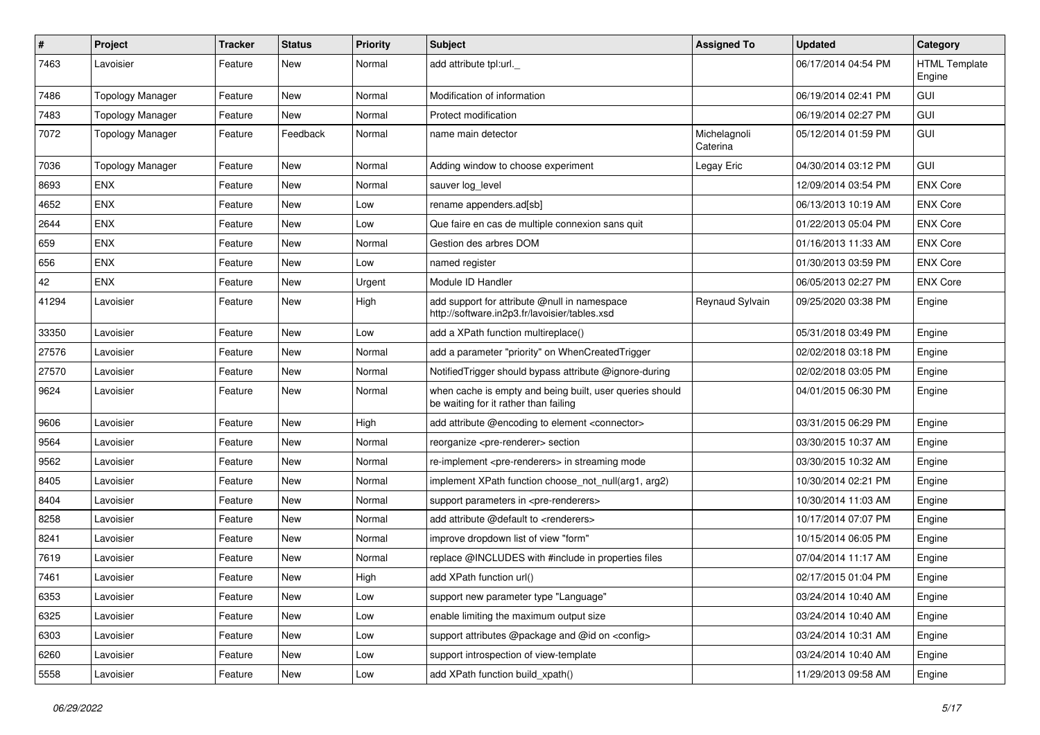| $\pmb{\#}$ | Project                 | <b>Tracker</b> | <b>Status</b> | <b>Priority</b> | Subject                                                                                           | <b>Assigned To</b>       | <b>Updated</b>      | Category                       |
|------------|-------------------------|----------------|---------------|-----------------|---------------------------------------------------------------------------------------------------|--------------------------|---------------------|--------------------------------|
| 7463       | Lavoisier               | Feature        | New           | Normal          | add attribute tpl:url.                                                                            |                          | 06/17/2014 04:54 PM | <b>HTML Template</b><br>Engine |
| 7486       | <b>Topology Manager</b> | Feature        | New           | Normal          | Modification of information                                                                       |                          | 06/19/2014 02:41 PM | GUI                            |
| 7483       | <b>Topology Manager</b> | Feature        | New           | Normal          | Protect modification                                                                              |                          | 06/19/2014 02:27 PM | <b>GUI</b>                     |
| 7072       | <b>Topology Manager</b> | Feature        | Feedback      | Normal          | name main detector                                                                                | Michelagnoli<br>Caterina | 05/12/2014 01:59 PM | GUI                            |
| 7036       | <b>Topology Manager</b> | Feature        | New           | Normal          | Adding window to choose experiment                                                                | Legay Eric               | 04/30/2014 03:12 PM | GUI                            |
| 8693       | <b>ENX</b>              | Feature        | New           | Normal          | sauver log level                                                                                  |                          | 12/09/2014 03:54 PM | <b>ENX Core</b>                |
| 4652       | <b>ENX</b>              | Feature        | New           | Low             | rename appenders.ad[sb]                                                                           |                          | 06/13/2013 10:19 AM | <b>ENX Core</b>                |
| 2644       | <b>ENX</b>              | Feature        | New           | Low             | Que faire en cas de multiple connexion sans quit                                                  |                          | 01/22/2013 05:04 PM | <b>ENX Core</b>                |
| 659        | <b>ENX</b>              | Feature        | New           | Normal          | Gestion des arbres DOM                                                                            |                          | 01/16/2013 11:33 AM | <b>ENX Core</b>                |
| 656        | <b>ENX</b>              | Feature        | New           | Low             | named register                                                                                    |                          | 01/30/2013 03:59 PM | <b>ENX Core</b>                |
| 42         | <b>ENX</b>              | Feature        | New           | Urgent          | Module ID Handler                                                                                 |                          | 06/05/2013 02:27 PM | <b>ENX Core</b>                |
| 41294      | Lavoisier               | Feature        | New           | High            | add support for attribute @null in namespace<br>http://software.in2p3.fr/lavoisier/tables.xsd     | Reynaud Sylvain          | 09/25/2020 03:38 PM | Engine                         |
| 33350      | Lavoisier               | Feature        | New           | Low             | add a XPath function multireplace()                                                               |                          | 05/31/2018 03:49 PM | Engine                         |
| 27576      | Lavoisier               | Feature        | New           | Normal          | add a parameter "priority" on WhenCreatedTrigger                                                  |                          | 02/02/2018 03:18 PM | Engine                         |
| 27570      | Lavoisier               | Feature        | New           | Normal          | NotifiedTrigger should bypass attribute @ignore-during                                            |                          | 02/02/2018 03:05 PM | Engine                         |
| 9624       | Lavoisier               | Feature        | New           | Normal          | when cache is empty and being built, user queries should<br>be waiting for it rather than failing |                          | 04/01/2015 06:30 PM | Engine                         |
| 9606       | Lavoisier               | Feature        | New           | High            | add attribute @encoding to element <connector></connector>                                        |                          | 03/31/2015 06:29 PM | Engine                         |
| 9564       | Lavoisier               | Feature        | New           | Normal          | reorganize <pre-renderer> section</pre-renderer>                                                  |                          | 03/30/2015 10:37 AM | Engine                         |
| 9562       | Lavoisier               | Feature        | New           | Normal          | re-implement <pre-renderers> in streaming mode</pre-renderers>                                    |                          | 03/30/2015 10:32 AM | Engine                         |
| 8405       | Lavoisier               | Feature        | New           | Normal          | implement XPath function choose not null(arg1, arg2)                                              |                          | 10/30/2014 02:21 PM | Engine                         |
| 8404       | Lavoisier               | Feature        | New           | Normal          | support parameters in <pre-renderers></pre-renderers>                                             |                          | 10/30/2014 11:03 AM | Engine                         |
| 8258       | Lavoisier               | Feature        | New           | Normal          | add attribute @default to <renderers></renderers>                                                 |                          | 10/17/2014 07:07 PM | Engine                         |
| 8241       | Lavoisier               | Feature        | New           | Normal          | improve dropdown list of view "form"                                                              |                          | 10/15/2014 06:05 PM | Engine                         |
| 7619       | Lavoisier               | Feature        | New           | Normal          | replace @INCLUDES with #include in properties files                                               |                          | 07/04/2014 11:17 AM | Engine                         |
| 7461       | Lavoisier               | Feature        | New           | High            | add XPath function url()                                                                          |                          | 02/17/2015 01:04 PM | Engine                         |
| 6353       | Lavoisier               | Feature        | New           | Low             | support new parameter type "Language"                                                             |                          | 03/24/2014 10:40 AM | Engine                         |
| 6325       | Lavoisier               | Feature        | New           | Low             | enable limiting the maximum output size                                                           |                          | 03/24/2014 10:40 AM | Engine                         |
| 6303       | Lavoisier               | Feature        | New           | Low             | support attributes @package and @id on <config></config>                                          |                          | 03/24/2014 10:31 AM | Engine                         |
| 6260       | Lavoisier               | Feature        | New           | Low             | support introspection of view-template                                                            |                          | 03/24/2014 10:40 AM | Engine                         |
| 5558       | Lavoisier               | Feature        | New           | Low             | add XPath function build_xpath()                                                                  |                          | 11/29/2013 09:58 AM | Engine                         |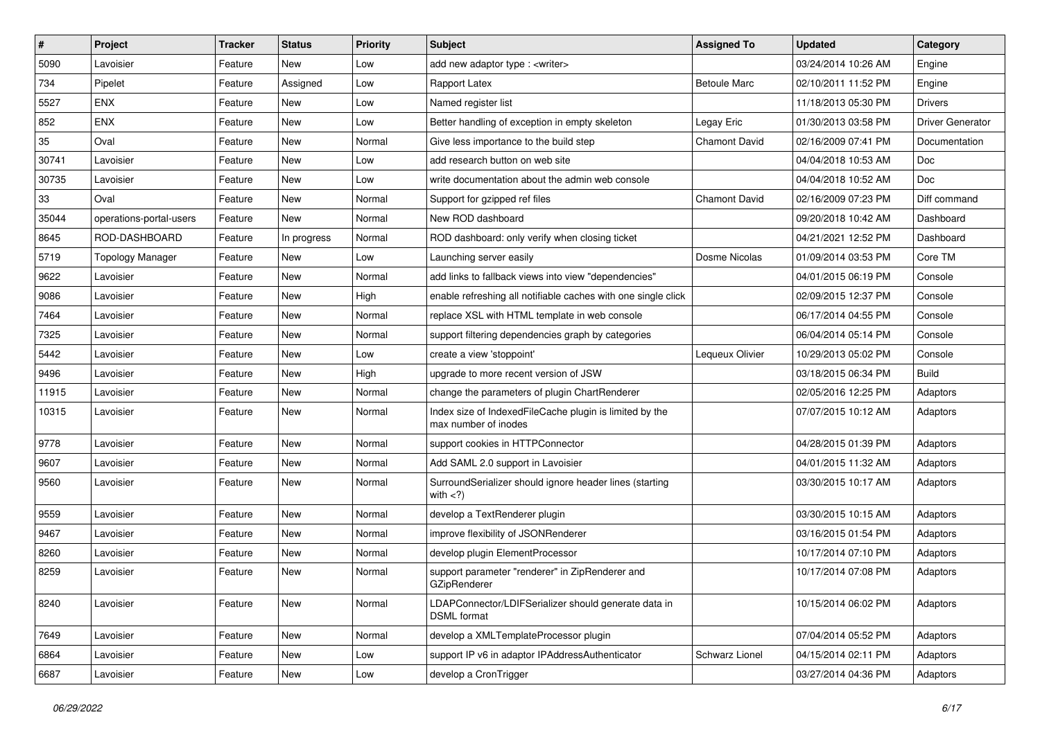| $\sharp$ | Project                 | <b>Tracker</b> | <b>Status</b> | <b>Priority</b> | Subject                                                                         | <b>Assigned To</b>  | <b>Updated</b>      | Category                |
|----------|-------------------------|----------------|---------------|-----------------|---------------------------------------------------------------------------------|---------------------|---------------------|-------------------------|
| 5090     | Lavoisier               | Feature        | New           | Low             | add new adaptor type : <writer></writer>                                        |                     | 03/24/2014 10:26 AM | Engine                  |
| 734      | Pipelet                 | Feature        | Assigned      | Low             | Rapport Latex                                                                   | <b>Betoule Marc</b> | 02/10/2011 11:52 PM | Engine                  |
| 5527     | <b>ENX</b>              | Feature        | New           | Low             | Named register list                                                             |                     | 11/18/2013 05:30 PM | <b>Drivers</b>          |
| 852      | <b>ENX</b>              | Feature        | New           | Low             | Better handling of exception in empty skeleton                                  | Legay Eric          | 01/30/2013 03:58 PM | <b>Driver Generator</b> |
| 35       | Oval                    | Feature        | <b>New</b>    | Normal          | Give less importance to the build step                                          | Chamont David       | 02/16/2009 07:41 PM | Documentation           |
| 30741    | Lavoisier               | Feature        | New           | Low             | add research button on web site                                                 |                     | 04/04/2018 10:53 AM | Doc                     |
| 30735    | Lavoisier               | Feature        | <b>New</b>    | Low             | write documentation about the admin web console                                 |                     | 04/04/2018 10:52 AM | <b>Doc</b>              |
| 33       | Oval                    | Feature        | New           | Normal          | Support for gzipped ref files                                                   | Chamont David       | 02/16/2009 07:23 PM | Diff command            |
| 35044    | operations-portal-users | Feature        | New           | Normal          | New ROD dashboard                                                               |                     | 09/20/2018 10:42 AM | Dashboard               |
| 8645     | ROD-DASHBOARD           | Feature        | In progress   | Normal          | ROD dashboard: only verify when closing ticket                                  |                     | 04/21/2021 12:52 PM | Dashboard               |
| 5719     | <b>Topology Manager</b> | Feature        | New           | Low             | Launching server easily                                                         | Dosme Nicolas       | 01/09/2014 03:53 PM | Core TM                 |
| 9622     | Lavoisier               | Feature        | New           | Normal          | add links to fallback views into view "dependencies"                            |                     | 04/01/2015 06:19 PM | Console                 |
| 9086     | Lavoisier               | Feature        | New           | High            | enable refreshing all notifiable caches with one single click                   |                     | 02/09/2015 12:37 PM | Console                 |
| 7464     | Lavoisier               | Feature        | New           | Normal          | replace XSL with HTML template in web console                                   |                     | 06/17/2014 04:55 PM | Console                 |
| 7325     | Lavoisier               | Feature        | New           | Normal          | support filtering dependencies graph by categories                              |                     | 06/04/2014 05:14 PM | Console                 |
| 5442     | Lavoisier               | Feature        | New           | Low             | create a view 'stoppoint'                                                       | Lequeux Olivier     | 10/29/2013 05:02 PM | Console                 |
| 9496     | Lavoisier               | Feature        | New           | High            | upgrade to more recent version of JSW                                           |                     | 03/18/2015 06:34 PM | <b>Build</b>            |
| 11915    | Lavoisier               | Feature        | New           | Normal          | change the parameters of plugin ChartRenderer                                   |                     | 02/05/2016 12:25 PM | Adaptors                |
| 10315    | Lavoisier               | Feature        | New           | Normal          | Index size of IndexedFileCache plugin is limited by the<br>max number of inodes |                     | 07/07/2015 10:12 AM | Adaptors                |
| 9778     | Lavoisier               | Feature        | New           | Normal          | support cookies in HTTPConnector                                                |                     | 04/28/2015 01:39 PM | Adaptors                |
| 9607     | Lavoisier               | Feature        | New           | Normal          | Add SAML 2.0 support in Lavoisier                                               |                     | 04/01/2015 11:32 AM | Adaptors                |
| 9560     | Lavoisier               | Feature        | New           | Normal          | SurroundSerializer should ignore header lines (starting<br>with $\langle$ ?)    |                     | 03/30/2015 10:17 AM | Adaptors                |
| 9559     | Lavoisier               | Feature        | New           | Normal          | develop a TextRenderer plugin                                                   |                     | 03/30/2015 10:15 AM | Adaptors                |
| 9467     | Lavoisier               | Feature        | <b>New</b>    | Normal          | improve flexibility of JSONRenderer                                             |                     | 03/16/2015 01:54 PM | Adaptors                |
| 8260     | Lavoisier               | Feature        | New           | Normal          | develop plugin ElementProcessor                                                 |                     | 10/17/2014 07:10 PM | Adaptors                |
| 8259     | Lavoisier               | Feature        | New           | Normal          | support parameter "renderer" in ZipRenderer and<br>GZipRenderer                 |                     | 10/17/2014 07:08 PM | Adaptors                |
| 8240     | Lavoisier               | Feature        | New           | Normal          | LDAPConnector/LDIFSerializer should generate data in<br><b>DSML</b> format      |                     | 10/15/2014 06:02 PM | Adaptors                |
| 7649     | Lavoisier               | Feature        | New           | Normal          | develop a XMLTemplateProcessor plugin                                           |                     | 07/04/2014 05:52 PM | Adaptors                |
| 6864     | Lavoisier               | Feature        | New           | Low             | support IP v6 in adaptor IPAddressAuthenticator                                 | Schwarz Lionel      | 04/15/2014 02:11 PM | Adaptors                |
| 6687     | Lavoisier               | Feature        | New           | Low             | develop a CronTrigger                                                           |                     | 03/27/2014 04:36 PM | Adaptors                |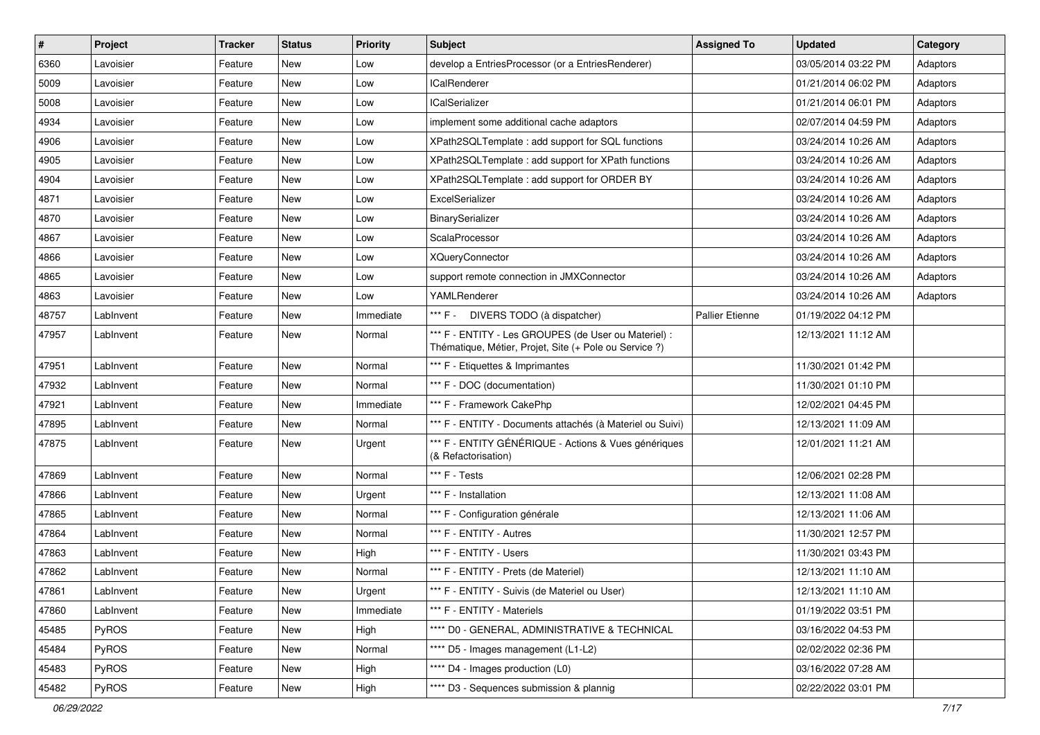| $\vert$ # | Project   | <b>Tracker</b> | <b>Status</b> | <b>Priority</b> | <b>Subject</b>                                                                                                 | <b>Assigned To</b>     | <b>Updated</b>      | Category |
|-----------|-----------|----------------|---------------|-----------------|----------------------------------------------------------------------------------------------------------------|------------------------|---------------------|----------|
| 6360      | Lavoisier | Feature        | New           | Low             | develop a EntriesProcessor (or a EntriesRenderer)                                                              |                        | 03/05/2014 03:22 PM | Adaptors |
| 5009      | Lavoisier | Feature        | <b>New</b>    | Low             | <b>ICalRenderer</b>                                                                                            |                        | 01/21/2014 06:02 PM | Adaptors |
| 5008      | Lavoisier | Feature        | New           | Low             | <b>ICalSerializer</b>                                                                                          |                        | 01/21/2014 06:01 PM | Adaptors |
| 4934      | Lavoisier | Feature        | New           | Low             | implement some additional cache adaptors                                                                       |                        | 02/07/2014 04:59 PM | Adaptors |
| 4906      | Lavoisier | Feature        | New           | Low             | XPath2SQLTemplate : add support for SQL functions                                                              |                        | 03/24/2014 10:26 AM | Adaptors |
| 4905      | Lavoisier | Feature        | New           | Low             | XPath2SQLTemplate: add support for XPath functions                                                             |                        | 03/24/2014 10:26 AM | Adaptors |
| 4904      | Lavoisier | Feature        | New           | Low             | XPath2SQLTemplate : add support for ORDER BY                                                                   |                        | 03/24/2014 10:26 AM | Adaptors |
| 4871      | Lavoisier | Feature        | New           | Low             | ExcelSerializer                                                                                                |                        | 03/24/2014 10:26 AM | Adaptors |
| 4870      | Lavoisier | Feature        | New           | Low             | BinarySerializer                                                                                               |                        | 03/24/2014 10:26 AM | Adaptors |
| 4867      | Lavoisier | Feature        | New           | Low             | ScalaProcessor                                                                                                 |                        | 03/24/2014 10:26 AM | Adaptors |
| 4866      | Lavoisier | Feature        | New           | Low             | <b>XQueryConnector</b>                                                                                         |                        | 03/24/2014 10:26 AM | Adaptors |
| 4865      | Lavoisier | Feature        | New           | Low             | support remote connection in JMXConnector                                                                      |                        | 03/24/2014 10:26 AM | Adaptors |
| 4863      | Lavoisier | Feature        | New           | Low             | YAMLRenderer                                                                                                   |                        | 03/24/2014 10:26 AM | Adaptors |
| 48757     | LabInvent | Feature        | New           | Immediate       | *** F - DIVERS TODO (à dispatcher)                                                                             | <b>Pallier Etienne</b> | 01/19/2022 04:12 PM |          |
| 47957     | LabInvent | Feature        | New           | Normal          | *** F - ENTITY - Les GROUPES (de User ou Materiel) :<br>Thématique, Métier, Projet, Site (+ Pole ou Service ?) |                        | 12/13/2021 11:12 AM |          |
| 47951     | LabInvent | Feature        | New           | Normal          | *** F - Etiquettes & Imprimantes                                                                               |                        | 11/30/2021 01:42 PM |          |
| 47932     | LabInvent | Feature        | New           | Normal          | *** F - DOC (documentation)                                                                                    |                        | 11/30/2021 01:10 PM |          |
| 47921     | LabInvent | Feature        | New           | Immediate       | *** F - Framework CakePhp                                                                                      |                        | 12/02/2021 04:45 PM |          |
| 47895     | LabInvent | Feature        | New           | Normal          | *** F - ENTITY - Documents attachés (à Materiel ou Suivi)                                                      |                        | 12/13/2021 11:09 AM |          |
| 47875     | LabInvent | Feature        | New           | Urgent          | *** F - ENTITY GÉNÉRIQUE - Actions & Vues génériques<br>(& Refactorisation)                                    |                        | 12/01/2021 11:21 AM |          |
| 47869     | LabInvent | Feature        | New           | Normal          | *** F - Tests                                                                                                  |                        | 12/06/2021 02:28 PM |          |
| 47866     | LabInvent | Feature        | New           | Urgent          | *** F - Installation                                                                                           |                        | 12/13/2021 11:08 AM |          |
| 47865     | LabInvent | Feature        | New           | Normal          | *** F - Configuration générale                                                                                 |                        | 12/13/2021 11:06 AM |          |
| 47864     | LabInvent | Feature        | New           | Normal          | *** F - ENTITY - Autres                                                                                        |                        | 11/30/2021 12:57 PM |          |
| 47863     | LabInvent | Feature        | New           | High            | *** F - ENTITY - Users                                                                                         |                        | 11/30/2021 03:43 PM |          |
| 47862     | LabInvent | Feature        | New           | Normal          | *** F - ENTITY - Prets (de Materiel)                                                                           |                        | 12/13/2021 11:10 AM |          |
| 47861     | LabInvent | Feature        | New           | Urgent          | *** F - ENTITY - Suivis (de Materiel ou User)                                                                  |                        | 12/13/2021 11:10 AM |          |
| 47860     | LabInvent | Feature        | New           | Immediate       | *** F - ENTITY - Materiels                                                                                     |                        | 01/19/2022 03:51 PM |          |
| 45485     | PyROS     | Feature        | New           | High            | **** D0 - GENERAL, ADMINISTRATIVE & TECHNICAL                                                                  |                        | 03/16/2022 04:53 PM |          |
| 45484     | PyROS     | Feature        | New           | Normal          | **** D5 - Images management (L1-L2)                                                                            |                        | 02/02/2022 02:36 PM |          |
| 45483     | PyROS     | Feature        | New           | High            | **** D4 - Images production (L0)                                                                               |                        | 03/16/2022 07:28 AM |          |
| 45482     | PyROS     | Feature        | New           | High            | **** D3 - Sequences submission & plannig                                                                       |                        | 02/22/2022 03:01 PM |          |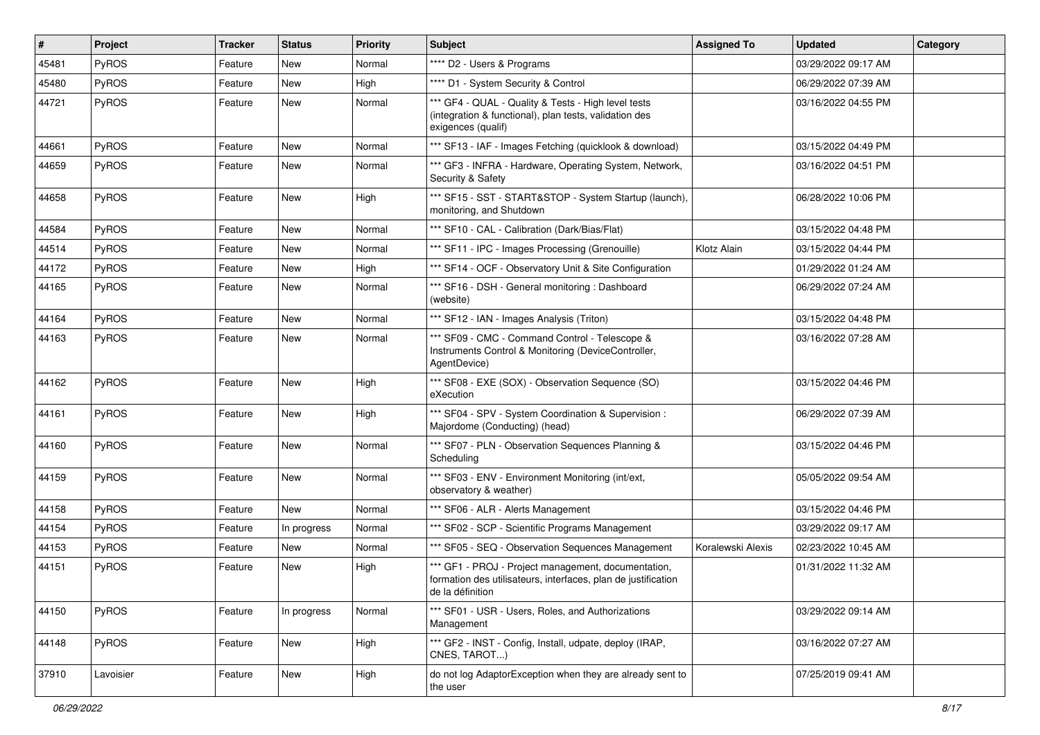| $\vert$ # | Project   | <b>Tracker</b> | <b>Status</b> | Priority | Subject                                                                                                                                  | <b>Assigned To</b> | <b>Updated</b>      | Category |
|-----------|-----------|----------------|---------------|----------|------------------------------------------------------------------------------------------------------------------------------------------|--------------------|---------------------|----------|
| 45481     | PyROS     | Feature        | New           | Normal   | **** D2 - Users & Programs                                                                                                               |                    | 03/29/2022 09:17 AM |          |
| 45480     | PyROS     | Feature        | New           | High     | **** D1 - System Security & Control                                                                                                      |                    | 06/29/2022 07:39 AM |          |
| 44721     | PyROS     | Feature        | New           | Normal   | *** GF4 - QUAL - Quality & Tests - High level tests<br>(integration & functional), plan tests, validation des<br>exigences (qualif)      |                    | 03/16/2022 04:55 PM |          |
| 44661     | PyROS     | Feature        | New           | Normal   | *** SF13 - IAF - Images Fetching (quicklook & download)                                                                                  |                    | 03/15/2022 04:49 PM |          |
| 44659     | PyROS     | Feature        | New           | Normal   | *** GF3 - INFRA - Hardware, Operating System, Network,<br>Security & Safety                                                              |                    | 03/16/2022 04:51 PM |          |
| 44658     | PyROS     | Feature        | New           | High     | *** SF15 - SST - START&STOP - System Startup (launch),<br>monitoring, and Shutdown                                                       |                    | 06/28/2022 10:06 PM |          |
| 44584     | PyROS     | Feature        | New           | Normal   | *** SF10 - CAL - Calibration (Dark/Bias/Flat)                                                                                            |                    | 03/15/2022 04:48 PM |          |
| 44514     | PyROS     | Feature        | New           | Normal   | *** SF11 - IPC - Images Processing (Grenouille)                                                                                          | Klotz Alain        | 03/15/2022 04:44 PM |          |
| 44172     | PyROS     | Feature        | <b>New</b>    | High     | *** SF14 - OCF - Observatory Unit & Site Configuration                                                                                   |                    | 01/29/2022 01:24 AM |          |
| 44165     | PyROS     | Feature        | New           | Normal   | *** SF16 - DSH - General monitoring: Dashboard<br>(website)                                                                              |                    | 06/29/2022 07:24 AM |          |
| 44164     | PyROS     | Feature        | <b>New</b>    | Normal   | *** SF12 - IAN - Images Analysis (Triton)                                                                                                |                    | 03/15/2022 04:48 PM |          |
| 44163     | PyROS     | Feature        | New           | Normal   | *** SF09 - CMC - Command Control - Telescope &<br>Instruments Control & Monitoring (DeviceController,<br>AgentDevice)                    |                    | 03/16/2022 07:28 AM |          |
| 44162     | PyROS     | Feature        | New           | High     | *** SF08 - EXE (SOX) - Observation Sequence (SO)<br>eXecution                                                                            |                    | 03/15/2022 04:46 PM |          |
| 44161     | PyROS     | Feature        | New           | High     | *** SF04 - SPV - System Coordination & Supervision :<br>Majordome (Conducting) (head)                                                    |                    | 06/29/2022 07:39 AM |          |
| 44160     | PyROS     | Feature        | New           | Normal   | *** SF07 - PLN - Observation Sequences Planning &<br>Scheduling                                                                          |                    | 03/15/2022 04:46 PM |          |
| 44159     | PyROS     | Feature        | New           | Normal   | *** SF03 - ENV - Environment Monitoring (int/ext,<br>observatory & weather)                                                              |                    | 05/05/2022 09:54 AM |          |
| 44158     | PyROS     | Feature        | New           | Normal   | *** SF06 - ALR - Alerts Management                                                                                                       |                    | 03/15/2022 04:46 PM |          |
| 44154     | PyROS     | Feature        | In progress   | Normal   | *** SF02 - SCP - Scientific Programs Management                                                                                          |                    | 03/29/2022 09:17 AM |          |
| 44153     | PyROS     | Feature        | New           | Normal   | *** SF05 - SEQ - Observation Sequences Management                                                                                        | Koralewski Alexis  | 02/23/2022 10:45 AM |          |
| 44151     | PyROS     | Feature        | New           | High     | *** GF1 - PROJ - Project management, documentation,<br>formation des utilisateurs, interfaces, plan de justification<br>de la définition |                    | 01/31/2022 11:32 AM |          |
| 44150     | PyROS     | Feature        | In progress   | Normal   | *** SF01 - USR - Users, Roles, and Authorizations<br>Management                                                                          |                    | 03/29/2022 09:14 AM |          |
| 44148     | PyROS     | Feature        | New           | High     | *** GF2 - INST - Config, Install, udpate, deploy (IRAP,<br>CNES, TAROT)                                                                  |                    | 03/16/2022 07:27 AM |          |
| 37910     | Lavoisier | Feature        | New           | High     | do not log AdaptorException when they are already sent to<br>the user                                                                    |                    | 07/25/2019 09:41 AM |          |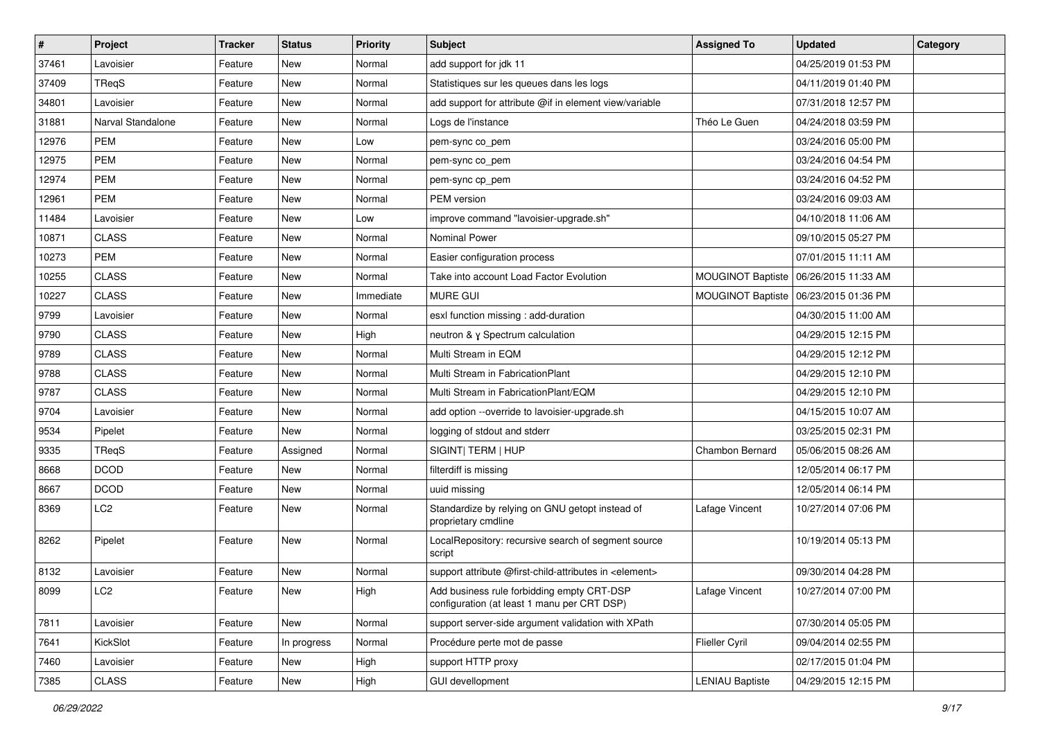| $\sharp$ | Project           | <b>Tracker</b> | <b>Status</b> | <b>Priority</b> | <b>Subject</b>                                                                            | <b>Assigned To</b>     | <b>Updated</b>                          | Category |
|----------|-------------------|----------------|---------------|-----------------|-------------------------------------------------------------------------------------------|------------------------|-----------------------------------------|----------|
| 37461    | Lavoisier         | Feature        | New           | Normal          | add support for jdk 11                                                                    |                        | 04/25/2019 01:53 PM                     |          |
| 37409    | TReqS             | Feature        | <b>New</b>    | Normal          | Statistiques sur les queues dans les logs                                                 |                        | 04/11/2019 01:40 PM                     |          |
| 34801    | Lavoisier         | Feature        | <b>New</b>    | Normal          | add support for attribute @if in element view/variable                                    |                        | 07/31/2018 12:57 PM                     |          |
| 31881    | Narval Standalone | Feature        | New           | Normal          | Logs de l'instance                                                                        | Théo Le Guen           | 04/24/2018 03:59 PM                     |          |
| 12976    | <b>PEM</b>        | Feature        | New           | Low             | pem-sync co_pem                                                                           |                        | 03/24/2016 05:00 PM                     |          |
| 12975    | PEM               | Feature        | New           | Normal          | pem-sync co_pem                                                                           |                        | 03/24/2016 04:54 PM                     |          |
| 12974    | <b>PEM</b>        | Feature        | <b>New</b>    | Normal          | pem-sync cp pem                                                                           |                        | 03/24/2016 04:52 PM                     |          |
| 12961    | PEM               | Feature        | New           | Normal          | PEM version                                                                               |                        | 03/24/2016 09:03 AM                     |          |
| 11484    | Lavoisier         | Feature        | New           | Low             | improve command "lavoisier-upgrade.sh"                                                    |                        | 04/10/2018 11:06 AM                     |          |
| 10871    | <b>CLASS</b>      | Feature        | <b>New</b>    | Normal          | Nominal Power                                                                             |                        | 09/10/2015 05:27 PM                     |          |
| 10273    | PEM               | Feature        | New           | Normal          | Easier configuration process                                                              |                        | 07/01/2015 11:11 AM                     |          |
| 10255    | <b>CLASS</b>      | Feature        | <b>New</b>    | Normal          | Take into account Load Factor Evolution                                                   |                        | MOUGINOT Baptiste   06/26/2015 11:33 AM |          |
| 10227    | <b>CLASS</b>      | Feature        | New           | Immediate       | <b>MURE GUI</b>                                                                           |                        | MOUGINOT Baptiste   06/23/2015 01:36 PM |          |
| 9799     | Lavoisier         | Feature        | New           | Normal          | esxl function missing : add-duration                                                      |                        | 04/30/2015 11:00 AM                     |          |
| 9790     | <b>CLASS</b>      | Feature        | <b>New</b>    | High            | neutron & y Spectrum calculation                                                          |                        | 04/29/2015 12:15 PM                     |          |
| 9789     | <b>CLASS</b>      | Feature        | <b>New</b>    | Normal          | Multi Stream in EQM                                                                       |                        | 04/29/2015 12:12 PM                     |          |
| 9788     | <b>CLASS</b>      | Feature        | New           | Normal          | Multi Stream in FabricationPlant                                                          |                        | 04/29/2015 12:10 PM                     |          |
| 9787     | <b>CLASS</b>      | Feature        | New           | Normal          | Multi Stream in FabricationPlant/EQM                                                      |                        | 04/29/2015 12:10 PM                     |          |
| 9704     | Lavoisier         | Feature        | New           | Normal          | add option --override to lavoisier-upgrade.sh                                             |                        | 04/15/2015 10:07 AM                     |          |
| 9534     | Pipelet           | Feature        | <b>New</b>    | Normal          | logging of stdout and stderr                                                              |                        | 03/25/2015 02:31 PM                     |          |
| 9335     | TReqS             | Feature        | Assigned      | Normal          | SIGINT  TERM   HUP                                                                        | <b>Chambon Bernard</b> | 05/06/2015 08:26 AM                     |          |
| 8668     | <b>DCOD</b>       | Feature        | New           | Normal          | filterdiff is missing                                                                     |                        | 12/05/2014 06:17 PM                     |          |
| 8667     | <b>DCOD</b>       | Feature        | <b>New</b>    | Normal          | uuid missing                                                                              |                        | 12/05/2014 06:14 PM                     |          |
| 8369     | LC2               | Feature        | New           | Normal          | Standardize by relying on GNU getopt instead of<br>proprietary cmdline                    | Lafage Vincent         | 10/27/2014 07:06 PM                     |          |
| 8262     | Pipelet           | Feature        | <b>New</b>    | Normal          | LocalRepository: recursive search of segment source<br>script                             |                        | 10/19/2014 05:13 PM                     |          |
| 8132     | Lavoisier         | Feature        | <b>New</b>    | Normal          | support attribute @first-child-attributes in <element></element>                          |                        | 09/30/2014 04:28 PM                     |          |
| 8099     | LC <sub>2</sub>   | Feature        | New           | High            | Add business rule forbidding empty CRT-DSP<br>configuration (at least 1 manu per CRT DSP) | Lafage Vincent         | 10/27/2014 07:00 PM                     |          |
| 7811     | Lavoisier         | Feature        | New           | Normal          | support server-side argument validation with XPath                                        |                        | 07/30/2014 05:05 PM                     |          |
| 7641     | KickSlot          | Feature        | In progress   | Normal          | Procédure perte mot de passe                                                              | Flieller Cyril         | 09/04/2014 02:55 PM                     |          |
| 7460     | Lavoisier         | Feature        | New           | High            | support HTTP proxy                                                                        |                        | 02/17/2015 01:04 PM                     |          |
| 7385     | <b>CLASS</b>      | Feature        | New           | High            | <b>GUI devellopment</b>                                                                   | <b>LENIAU Baptiste</b> | 04/29/2015 12:15 PM                     |          |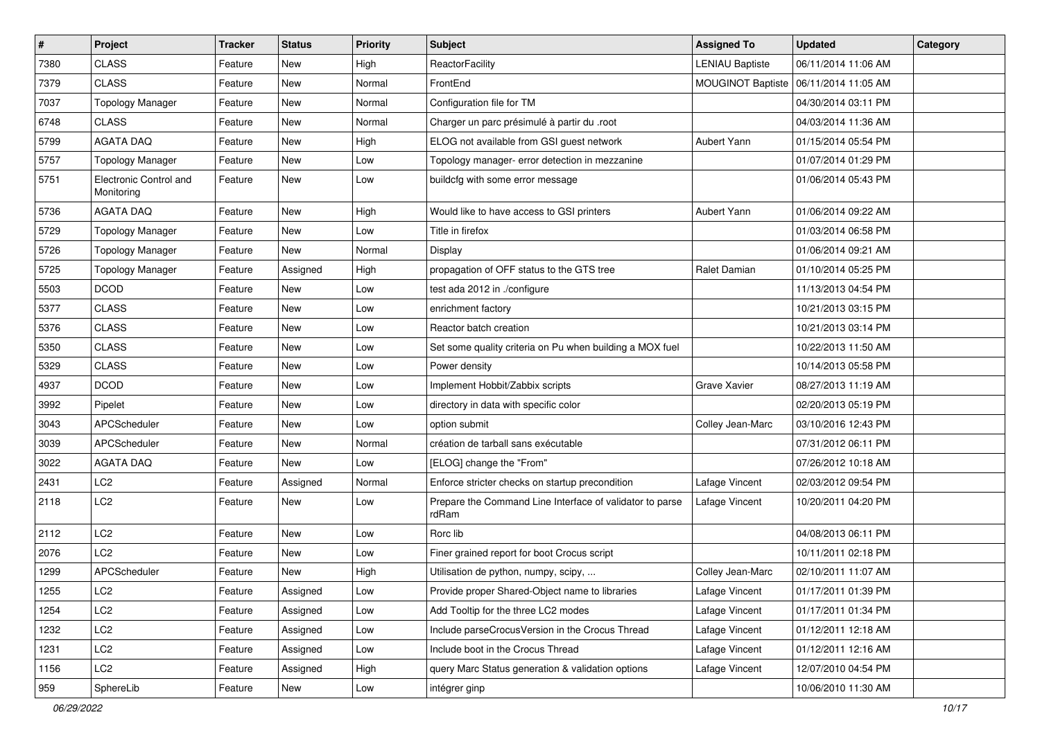| $\vert$ # | Project                              | <b>Tracker</b> | <b>Status</b> | <b>Priority</b> | <b>Subject</b>                                                    | <b>Assigned To</b>       | <b>Updated</b>      | Category |
|-----------|--------------------------------------|----------------|---------------|-----------------|-------------------------------------------------------------------|--------------------------|---------------------|----------|
| 7380      | <b>CLASS</b>                         | Feature        | New           | High            | ReactorFacility                                                   | <b>LENIAU Baptiste</b>   | 06/11/2014 11:06 AM |          |
| 7379      | <b>CLASS</b>                         | Feature        | New           | Normal          | FrontEnd                                                          | <b>MOUGINOT Baptiste</b> | 06/11/2014 11:05 AM |          |
| 7037      | <b>Topology Manager</b>              | Feature        | New           | Normal          | Configuration file for TM                                         |                          | 04/30/2014 03:11 PM |          |
| 6748      | <b>CLASS</b>                         | Feature        | New           | Normal          | Charger un parc présimulé à partir du .root                       |                          | 04/03/2014 11:36 AM |          |
| 5799      | <b>AGATA DAQ</b>                     | Feature        | New           | High            | ELOG not available from GSI guest network                         | Aubert Yann              | 01/15/2014 05:54 PM |          |
| 5757      | <b>Topology Manager</b>              | Feature        | <b>New</b>    | Low             | Topology manager- error detection in mezzanine                    |                          | 01/07/2014 01:29 PM |          |
| 5751      | Electronic Control and<br>Monitoring | Feature        | New           | Low             | buildcfg with some error message                                  |                          | 01/06/2014 05:43 PM |          |
| 5736      | <b>AGATA DAQ</b>                     | Feature        | New           | High            | Would like to have access to GSI printers                         | Aubert Yann              | 01/06/2014 09:22 AM |          |
| 5729      | <b>Topology Manager</b>              | Feature        | <b>New</b>    | Low             | Title in firefox                                                  |                          | 01/03/2014 06:58 PM |          |
| 5726      | <b>Topology Manager</b>              | Feature        | New           | Normal          | Display                                                           |                          | 01/06/2014 09:21 AM |          |
| 5725      | <b>Topology Manager</b>              | Feature        | Assigned      | High            | propagation of OFF status to the GTS tree                         | Ralet Damian             | 01/10/2014 05:25 PM |          |
| 5503      | <b>DCOD</b>                          | Feature        | New           | Low             | test ada 2012 in ./configure                                      |                          | 11/13/2013 04:54 PM |          |
| 5377      | <b>CLASS</b>                         | Feature        | New           | Low             | enrichment factory                                                |                          | 10/21/2013 03:15 PM |          |
| 5376      | <b>CLASS</b>                         | Feature        | New           | Low             | Reactor batch creation                                            |                          | 10/21/2013 03:14 PM |          |
| 5350      | <b>CLASS</b>                         | Feature        | New           | Low             | Set some quality criteria on Pu when building a MOX fuel          |                          | 10/22/2013 11:50 AM |          |
| 5329      | <b>CLASS</b>                         | Feature        | New           | Low             | Power density                                                     |                          | 10/14/2013 05:58 PM |          |
| 4937      | <b>DCOD</b>                          | Feature        | New           | Low             | Implement Hobbit/Zabbix scripts                                   | Grave Xavier             | 08/27/2013 11:19 AM |          |
| 3992      | Pipelet                              | Feature        | New           | Low             | directory in data with specific color                             |                          | 02/20/2013 05:19 PM |          |
| 3043      | APCScheduler                         | Feature        | New           | Low             | option submit                                                     | Colley Jean-Marc         | 03/10/2016 12:43 PM |          |
| 3039      | APCScheduler                         | Feature        | New           | Normal          | création de tarball sans exécutable                               |                          | 07/31/2012 06:11 PM |          |
| 3022      | <b>AGATA DAQ</b>                     | Feature        | New           | Low             | [ELOG] change the "From"                                          |                          | 07/26/2012 10:18 AM |          |
| 2431      | LC <sub>2</sub>                      | Feature        | Assigned      | Normal          | Enforce stricter checks on startup precondition                   | Lafage Vincent           | 02/03/2012 09:54 PM |          |
| 2118      | LC2                                  | Feature        | New           | Low             | Prepare the Command Line Interface of validator to parse<br>rdRam | Lafage Vincent           | 10/20/2011 04:20 PM |          |
| 2112      | LC <sub>2</sub>                      | Feature        | New           | Low             | Rorc lib                                                          |                          | 04/08/2013 06:11 PM |          |
| 2076      | LC <sub>2</sub>                      | Feature        | New           | Low             | Finer grained report for boot Crocus script                       |                          | 10/11/2011 02:18 PM |          |
| 1299      | APCScheduler                         | Feature        | New           | High            | Utilisation de python, numpy, scipy,                              | Colley Jean-Marc         | 02/10/2011 11:07 AM |          |
| 1255      | LC <sub>2</sub>                      | Feature        | Assigned      | Low             | Provide proper Shared-Object name to libraries                    | Lafage Vincent           | 01/17/2011 01:39 PM |          |
| 1254      | LC <sub>2</sub>                      | Feature        | Assigned      | Low             | Add Tooltip for the three LC2 modes                               | Lafage Vincent           | 01/17/2011 01:34 PM |          |
| 1232      | LC <sub>2</sub>                      | Feature        | Assigned      | Low             | Include parseCrocusVersion in the Crocus Thread                   | Lafage Vincent           | 01/12/2011 12:18 AM |          |
| 1231      | LC <sub>2</sub>                      | Feature        | Assigned      | Low             | Include boot in the Crocus Thread                                 | Lafage Vincent           | 01/12/2011 12:16 AM |          |
| 1156      | LC <sub>2</sub>                      | Feature        | Assigned      | High            | query Marc Status generation & validation options                 | Lafage Vincent           | 12/07/2010 04:54 PM |          |
| 959       | SphereLib                            | Feature        | New           | Low             | intégrer ginp                                                     |                          | 10/06/2010 11:30 AM |          |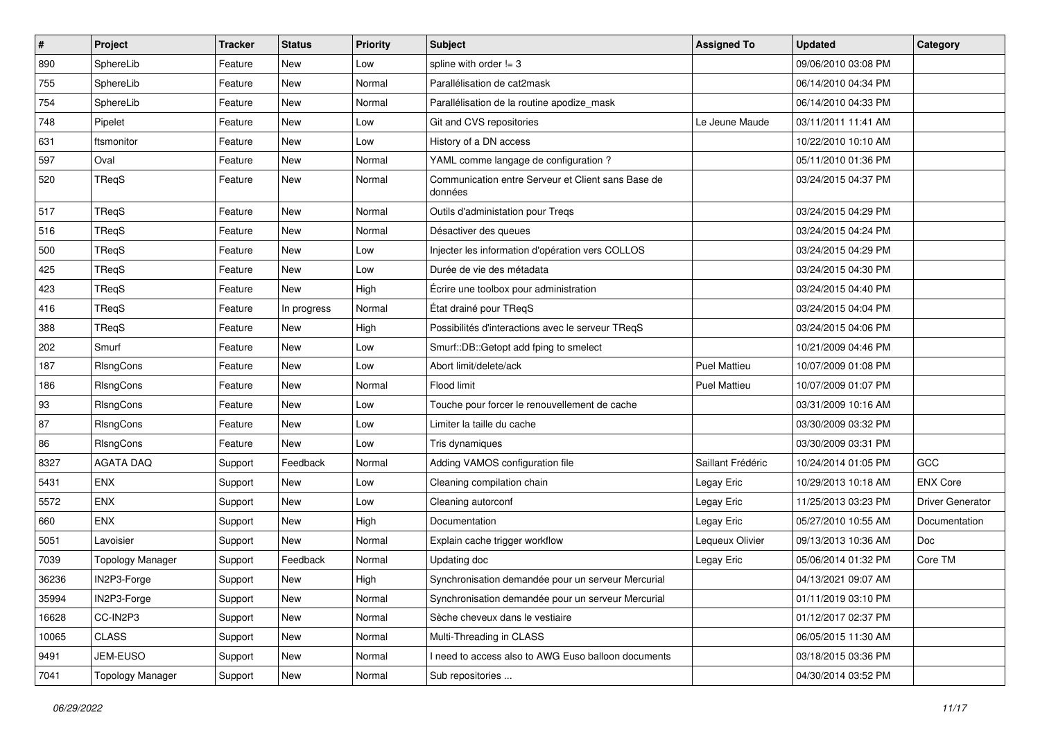| $\pmb{\#}$ | Project                 | <b>Tracker</b> | <b>Status</b> | <b>Priority</b> | <b>Subject</b>                                                | <b>Assigned To</b>  | <b>Updated</b>      | Category         |
|------------|-------------------------|----------------|---------------|-----------------|---------------------------------------------------------------|---------------------|---------------------|------------------|
| 890        | SphereLib               | Feature        | New           | Low             | spline with order $!= 3$                                      |                     | 09/06/2010 03:08 PM |                  |
| 755        | SphereLib               | Feature        | <b>New</b>    | Normal          | Parallélisation de cat2mask                                   |                     | 06/14/2010 04:34 PM |                  |
| 754        | SphereLib               | Feature        | <b>New</b>    | Normal          | Parallélisation de la routine apodize_mask                    |                     | 06/14/2010 04:33 PM |                  |
| 748        | Pipelet                 | Feature        | New           | Low             | Git and CVS repositories                                      | Le Jeune Maude      | 03/11/2011 11:41 AM |                  |
| 631        | ftsmonitor              | Feature        | New           | Low             | History of a DN access                                        |                     | 10/22/2010 10:10 AM |                  |
| 597        | Oval                    | Feature        | New           | Normal          | YAML comme langage de configuration ?                         |                     | 05/11/2010 01:36 PM |                  |
| 520        | TReqS                   | Feature        | New           | Normal          | Communication entre Serveur et Client sans Base de<br>données |                     | 03/24/2015 04:37 PM |                  |
| 517        | TReqS                   | Feature        | New           | Normal          | Outils d'administation pour Treqs                             |                     | 03/24/2015 04:29 PM |                  |
| 516        | TReqS                   | Feature        | New           | Normal          | Désactiver des queues                                         |                     | 03/24/2015 04:24 PM |                  |
| 500        | TReqS                   | Feature        | New           | Low             | Injecter les information d'opération vers COLLOS              |                     | 03/24/2015 04:29 PM |                  |
| 425        | TReqS                   | Feature        | New           | Low             | Durée de vie des métadata                                     |                     | 03/24/2015 04:30 PM |                  |
| 423        | TReqS                   | Feature        | New           | High            | Écrire une toolbox pour administration                        |                     | 03/24/2015 04:40 PM |                  |
| 416        | TReqS                   | Feature        | In progress   | Normal          | État drainé pour TReqS                                        |                     | 03/24/2015 04:04 PM |                  |
| 388        | TReqS                   | Feature        | New           | High            | Possibilités d'interactions avec le serveur TReqS             |                     | 03/24/2015 04:06 PM |                  |
| 202        | Smurf                   | Feature        | <b>New</b>    | Low             | Smurf::DB::Getopt add fping to smelect                        |                     | 10/21/2009 04:46 PM |                  |
| 187        | RIsngCons               | Feature        | New           | Low             | Abort limit/delete/ack                                        | <b>Puel Mattieu</b> | 10/07/2009 01:08 PM |                  |
| 186        | RIsngCons               | Feature        | <b>New</b>    | Normal          | Flood limit                                                   | <b>Puel Mattieu</b> | 10/07/2009 01:07 PM |                  |
| 93         | RIsngCons               | Feature        | New           | Low             | Touche pour forcer le renouvellement de cache                 |                     | 03/31/2009 10:16 AM |                  |
| 87         | RIsngCons               | Feature        | New           | Low             | Limiter la taille du cache                                    |                     | 03/30/2009 03:32 PM |                  |
| 86         | RIsngCons               | Feature        | New           | Low             | Tris dynamiques                                               |                     | 03/30/2009 03:31 PM |                  |
| 8327       | <b>AGATA DAQ</b>        | Support        | Feedback      | Normal          | Adding VAMOS configuration file                               | Saillant Frédéric   | 10/24/2014 01:05 PM | GCC              |
| 5431       | <b>ENX</b>              | Support        | New           | Low             | Cleaning compilation chain                                    | Legay Eric          | 10/29/2013 10:18 AM | <b>ENX Core</b>  |
| 5572       | <b>ENX</b>              | Support        | New           | Low             | Cleaning autorconf                                            | Legay Eric          | 11/25/2013 03:23 PM | Driver Generator |
| 660        | <b>ENX</b>              | Support        | New           | High            | Documentation                                                 | Legay Eric          | 05/27/2010 10:55 AM | Documentation    |
| 5051       | Lavoisier               | Support        | New           | Normal          | Explain cache trigger workflow                                | Lequeux Olivier     | 09/13/2013 10:36 AM | Doc              |
| 7039       | <b>Topology Manager</b> | Support        | Feedback      | Normal          | Updating doc                                                  | Legay Eric          | 05/06/2014 01:32 PM | Core TM          |
| 36236      | IN2P3-Forge             | Support        | New           | High            | Synchronisation demandée pour un serveur Mercurial            |                     | 04/13/2021 09:07 AM |                  |
| 35994      | IN2P3-Forge             | Support        | New           | Normal          | Synchronisation demandée pour un serveur Mercurial            |                     | 01/11/2019 03:10 PM |                  |
| 16628      | CC-IN2P3                | Support        | New           | Normal          | Sèche cheveux dans le vestiaire                               |                     | 01/12/2017 02:37 PM |                  |
| 10065      | <b>CLASS</b>            | Support        | New           | Normal          | Multi-Threading in CLASS                                      |                     | 06/05/2015 11:30 AM |                  |
| 9491       | JEM-EUSO                | Support        | New           | Normal          | I need to access also to AWG Euso balloon documents           |                     | 03/18/2015 03:36 PM |                  |
| 7041       | <b>Topology Manager</b> | Support        | New           | Normal          | Sub repositories                                              |                     | 04/30/2014 03:52 PM |                  |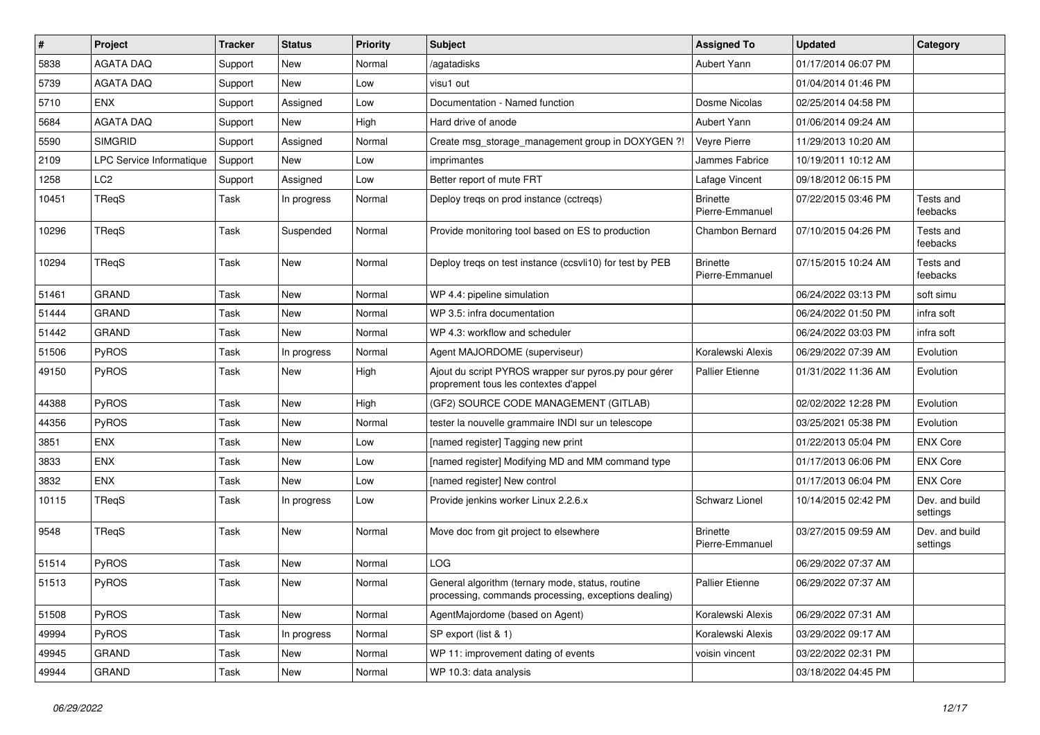| #     | Project                  | <b>Tracker</b> | <b>Status</b> | <b>Priority</b> | Subject                                                                                                  | <b>Assigned To</b>                 | <b>Updated</b>      | Category                   |
|-------|--------------------------|----------------|---------------|-----------------|----------------------------------------------------------------------------------------------------------|------------------------------------|---------------------|----------------------------|
| 5838  | <b>AGATA DAQ</b>         | Support        | New           | Normal          | /agatadisks                                                                                              | Aubert Yann                        | 01/17/2014 06:07 PM |                            |
| 5739  | <b>AGATA DAQ</b>         | Support        | New           | Low             | visu1 out                                                                                                |                                    | 01/04/2014 01:46 PM |                            |
| 5710  | <b>ENX</b>               | Support        | Assigned      | Low             | Documentation - Named function                                                                           | Dosme Nicolas                      | 02/25/2014 04:58 PM |                            |
| 5684  | <b>AGATA DAQ</b>         | Support        | New           | High            | Hard drive of anode                                                                                      | Aubert Yann                        | 01/06/2014 09:24 AM |                            |
| 5590  | <b>SIMGRID</b>           | Support        | Assigned      | Normal          | Create msg_storage_management group in DOXYGEN ?!                                                        | Veyre Pierre                       | 11/29/2013 10:20 AM |                            |
| 2109  | LPC Service Informatique | Support        | New           | Low             | imprimantes                                                                                              | Jammes Fabrice                     | 10/19/2011 10:12 AM |                            |
| 1258  | LC <sub>2</sub>          | Support        | Assigned      | Low             | Better report of mute FRT                                                                                | Lafage Vincent                     | 09/18/2012 06:15 PM |                            |
| 10451 | TReqS                    | Task           | In progress   | Normal          | Deploy treqs on prod instance (cctreqs)                                                                  | <b>Brinette</b><br>Pierre-Emmanuel | 07/22/2015 03:46 PM | Tests and<br>feebacks      |
| 10296 | TReqS                    | Task           | Suspended     | Normal          | Provide monitoring tool based on ES to production                                                        | Chambon Bernard                    | 07/10/2015 04:26 PM | Tests and<br>feebacks      |
| 10294 | TReqS                    | <b>Task</b>    | New           | Normal          | Deploy treqs on test instance (ccsvli10) for test by PEB                                                 | <b>Brinette</b><br>Pierre-Emmanuel | 07/15/2015 10:24 AM | Tests and<br>feebacks      |
| 51461 | <b>GRAND</b>             | <b>Task</b>    | New           | Normal          | WP 4.4: pipeline simulation                                                                              |                                    | 06/24/2022 03:13 PM | soft simu                  |
| 51444 | <b>GRAND</b>             | <b>Task</b>    | New           | Normal          | WP 3.5: infra documentation                                                                              |                                    | 06/24/2022 01:50 PM | infra soft                 |
| 51442 | <b>GRAND</b>             | Task           | New           | Normal          | WP 4.3: workflow and scheduler                                                                           |                                    | 06/24/2022 03:03 PM | infra soft                 |
| 51506 | PyROS                    | Task           | In progress   | Normal          | Agent MAJORDOME (superviseur)                                                                            | Koralewski Alexis                  | 06/29/2022 07:39 AM | Evolution                  |
| 49150 | PyROS                    | Task           | New           | High            | Ajout du script PYROS wrapper sur pyros.py pour gérer<br>proprement tous les contextes d'appel           | <b>Pallier Etienne</b>             | 01/31/2022 11:36 AM | Evolution                  |
| 44388 | PyROS                    | Task           | New           | High            | (GF2) SOURCE CODE MANAGEMENT (GITLAB)                                                                    |                                    | 02/02/2022 12:28 PM | Evolution                  |
| 44356 | <b>PyROS</b>             | Task           | <b>New</b>    | Normal          | tester la nouvelle grammaire INDI sur un telescope                                                       |                                    | 03/25/2021 05:38 PM | Evolution                  |
| 3851  | <b>ENX</b>               | Task           | New           | Low             | [named register] Tagging new print                                                                       |                                    | 01/22/2013 05:04 PM | <b>ENX Core</b>            |
| 3833  | <b>ENX</b>               | Task           | <b>New</b>    | Low             | [named register] Modifying MD and MM command type                                                        |                                    | 01/17/2013 06:06 PM | <b>ENX Core</b>            |
| 3832  | ENX                      | Task           | New           | Low             | [named register] New control                                                                             |                                    | 01/17/2013 06:04 PM | <b>ENX Core</b>            |
| 10115 | TReqS                    | Task           | In progress   | Low             | Provide jenkins worker Linux 2.2.6.x                                                                     | Schwarz Lionel                     | 10/14/2015 02:42 PM | Dev. and build<br>settings |
| 9548  | TReqS                    | Task           | New           | Normal          | Move doc from git project to elsewhere                                                                   | <b>Brinette</b><br>Pierre-Emmanuel | 03/27/2015 09:59 AM | Dev. and build<br>settings |
| 51514 | PyROS                    | Task           | New           | Normal          | LOG.                                                                                                     |                                    | 06/29/2022 07:37 AM |                            |
| 51513 | PyROS                    | Task           | New           | Normal          | General algorithm (ternary mode, status, routine<br>processing, commands processing, exceptions dealing) | <b>Pallier Etienne</b>             | 06/29/2022 07:37 AM |                            |
| 51508 | PyROS                    | Task           | New           | Normal          | AgentMajordome (based on Agent)                                                                          | Koralewski Alexis                  | 06/29/2022 07:31 AM |                            |
| 49994 | PyROS                    | Task           | In progress   | Normal          | SP export (list & 1)                                                                                     | Koralewski Alexis                  | 03/29/2022 09:17 AM |                            |
| 49945 | GRAND                    | Task           | New           | Normal          | WP 11: improvement dating of events                                                                      | voisin vincent                     | 03/22/2022 02:31 PM |                            |
| 49944 | GRAND                    | Task           | New           | Normal          | WP 10.3: data analysis                                                                                   |                                    | 03/18/2022 04:45 PM |                            |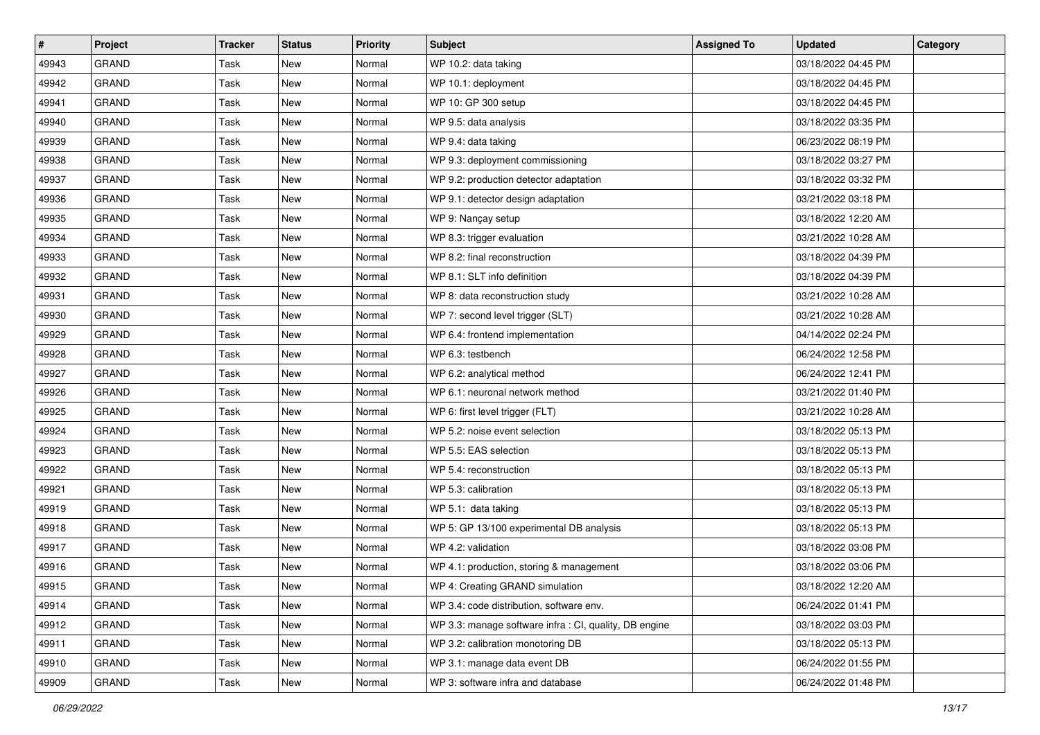| $\vert$ # | <b>Project</b> | <b>Tracker</b> | <b>Status</b> | <b>Priority</b> | <b>Subject</b>                                         | <b>Assigned To</b> | <b>Updated</b>      | Category |
|-----------|----------------|----------------|---------------|-----------------|--------------------------------------------------------|--------------------|---------------------|----------|
| 49943     | <b>GRAND</b>   | Task           | New           | Normal          | WP 10.2: data taking                                   |                    | 03/18/2022 04:45 PM |          |
| 49942     | <b>GRAND</b>   | Task           | <b>New</b>    | Normal          | WP 10.1: deployment                                    |                    | 03/18/2022 04:45 PM |          |
| 49941     | <b>GRAND</b>   | Task           | New           | Normal          | WP 10: GP 300 setup                                    |                    | 03/18/2022 04:45 PM |          |
| 49940     | <b>GRAND</b>   | <b>Task</b>    | <b>New</b>    | Normal          | WP 9.5: data analysis                                  |                    | 03/18/2022 03:35 PM |          |
| 49939     | <b>GRAND</b>   | Task           | <b>New</b>    | Normal          | WP 9.4: data taking                                    |                    | 06/23/2022 08:19 PM |          |
| 49938     | <b>GRAND</b>   | Task           | New           | Normal          | WP 9.3: deployment commissioning                       |                    | 03/18/2022 03:27 PM |          |
| 49937     | <b>GRAND</b>   | Task           | <b>New</b>    | Normal          | WP 9.2: production detector adaptation                 |                    | 03/18/2022 03:32 PM |          |
| 49936     | <b>GRAND</b>   | Task           | New           | Normal          | WP 9.1: detector design adaptation                     |                    | 03/21/2022 03:18 PM |          |
| 49935     | <b>GRAND</b>   | <b>Task</b>    | New           | Normal          | WP 9: Nançay setup                                     |                    | 03/18/2022 12:20 AM |          |
| 49934     | <b>GRAND</b>   | Task           | <b>New</b>    | Normal          | WP 8.3: trigger evaluation                             |                    | 03/21/2022 10:28 AM |          |
| 49933     | <b>GRAND</b>   | Task           | <b>New</b>    | Normal          | WP 8.2: final reconstruction                           |                    | 03/18/2022 04:39 PM |          |
| 49932     | <b>GRAND</b>   | Task           | <b>New</b>    | Normal          | WP 8.1: SLT info definition                            |                    | 03/18/2022 04:39 PM |          |
| 49931     | <b>GRAND</b>   | Task           | New           | Normal          | WP 8: data reconstruction study                        |                    | 03/21/2022 10:28 AM |          |
| 49930     | <b>GRAND</b>   | Task           | <b>New</b>    | Normal          | WP 7: second level trigger (SLT)                       |                    | 03/21/2022 10:28 AM |          |
| 49929     | <b>GRAND</b>   | Task           | <b>New</b>    | Normal          | WP 6.4: frontend implementation                        |                    | 04/14/2022 02:24 PM |          |
| 49928     | <b>GRAND</b>   | Task           | <b>New</b>    | Normal          | WP 6.3: testbench                                      |                    | 06/24/2022 12:58 PM |          |
| 49927     | <b>GRAND</b>   | <b>Task</b>    | <b>New</b>    | Normal          | WP 6.2: analytical method                              |                    | 06/24/2022 12:41 PM |          |
| 49926     | <b>GRAND</b>   | Task           | New           | Normal          | WP 6.1: neuronal network method                        |                    | 03/21/2022 01:40 PM |          |
| 49925     | <b>GRAND</b>   | <b>Task</b>    | <b>New</b>    | Normal          | WP 6: first level trigger (FLT)                        |                    | 03/21/2022 10:28 AM |          |
| 49924     | <b>GRAND</b>   | Task           | <b>New</b>    | Normal          | WP 5.2: noise event selection                          |                    | 03/18/2022 05:13 PM |          |
| 49923     | <b>GRAND</b>   | Task           | <b>New</b>    | Normal          | WP 5.5: EAS selection                                  |                    | 03/18/2022 05:13 PM |          |
| 49922     | <b>GRAND</b>   | <b>Task</b>    | New           | Normal          | WP 5.4: reconstruction                                 |                    | 03/18/2022 05:13 PM |          |
| 49921     | GRAND          | Task           | <b>New</b>    | Normal          | WP 5.3: calibration                                    |                    | 03/18/2022 05:13 PM |          |
| 49919     | <b>GRAND</b>   | Task           | <b>New</b>    | Normal          | WP 5.1: data taking                                    |                    | 03/18/2022 05:13 PM |          |
| 49918     | <b>GRAND</b>   | Task           | <b>New</b>    | Normal          | WP 5: GP 13/100 experimental DB analysis               |                    | 03/18/2022 05:13 PM |          |
| 49917     | <b>GRAND</b>   | Task           | New           | Normal          | WP 4.2: validation                                     |                    | 03/18/2022 03:08 PM |          |
| 49916     | <b>GRAND</b>   | Task           | <b>New</b>    | Normal          | WP 4.1: production, storing & management               |                    | 03/18/2022 03:06 PM |          |
| 49915     | <b>GRAND</b>   | Task           | New           | Normal          | WP 4: Creating GRAND simulation                        |                    | 03/18/2022 12:20 AM |          |
| 49914     | <b>GRAND</b>   | Task           | New           | Normal          | WP 3.4: code distribution, software env.               |                    | 06/24/2022 01:41 PM |          |
| 49912     | <b>GRAND</b>   | Task           | New           | Normal          | WP 3.3: manage software infra : CI, quality, DB engine |                    | 03/18/2022 03:03 PM |          |
| 49911     | <b>GRAND</b>   | Task           | New           | Normal          | WP 3.2: calibration monotoring DB                      |                    | 03/18/2022 05:13 PM |          |
| 49910     | GRAND          | Task           | New           | Normal          | WP 3.1: manage data event DB                           |                    | 06/24/2022 01:55 PM |          |
| 49909     | GRAND          | Task           | New           | Normal          | WP 3: software infra and database                      |                    | 06/24/2022 01:48 PM |          |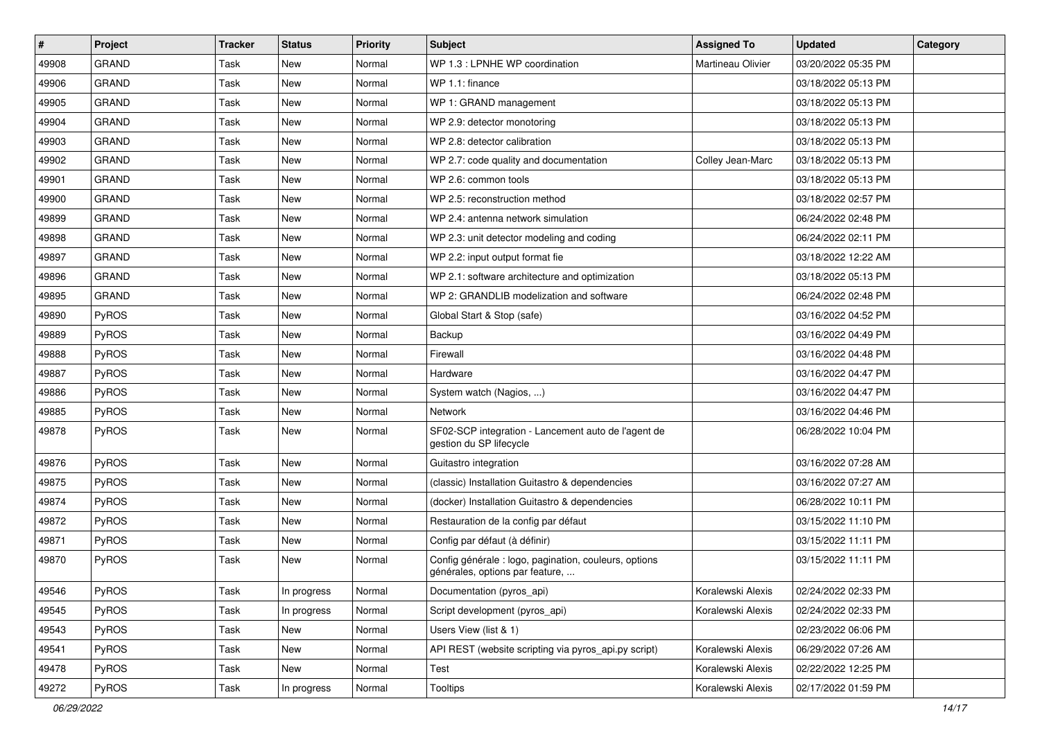| $\pmb{\#}$ | <b>Project</b> | <b>Tracker</b> | <b>Status</b> | <b>Priority</b> | <b>Subject</b>                                                                           | <b>Assigned To</b> | <b>Updated</b>      | Category |
|------------|----------------|----------------|---------------|-----------------|------------------------------------------------------------------------------------------|--------------------|---------------------|----------|
| 49908      | <b>GRAND</b>   | Task           | New           | Normal          | WP 1.3 : LPNHE WP coordination                                                           | Martineau Olivier  | 03/20/2022 05:35 PM |          |
| 49906      | <b>GRAND</b>   | Task           | <b>New</b>    | Normal          | WP 1.1: finance                                                                          |                    | 03/18/2022 05:13 PM |          |
| 49905      | <b>GRAND</b>   | Task           | <b>New</b>    | Normal          | WP 1: GRAND management                                                                   |                    | 03/18/2022 05:13 PM |          |
| 49904      | <b>GRAND</b>   | Task           | <b>New</b>    | Normal          | WP 2.9: detector monotoring                                                              |                    | 03/18/2022 05:13 PM |          |
| 49903      | <b>GRAND</b>   | Task           | <b>New</b>    | Normal          | WP 2.8: detector calibration                                                             |                    | 03/18/2022 05:13 PM |          |
| 49902      | <b>GRAND</b>   | Task           | <b>New</b>    | Normal          | WP 2.7: code quality and documentation                                                   | Colley Jean-Marc   | 03/18/2022 05:13 PM |          |
| 49901      | <b>GRAND</b>   | Task           | <b>New</b>    | Normal          | WP 2.6: common tools                                                                     |                    | 03/18/2022 05:13 PM |          |
| 49900      | <b>GRAND</b>   | Task           | New           | Normal          | WP 2.5: reconstruction method                                                            |                    | 03/18/2022 02:57 PM |          |
| 49899      | <b>GRAND</b>   | Task           | <b>New</b>    | Normal          | WP 2.4: antenna network simulation                                                       |                    | 06/24/2022 02:48 PM |          |
| 49898      | <b>GRAND</b>   | Task           | <b>New</b>    | Normal          | WP 2.3: unit detector modeling and coding                                                |                    | 06/24/2022 02:11 PM |          |
| 49897      | <b>GRAND</b>   | Task           | <b>New</b>    | Normal          | WP 2.2: input output format fie                                                          |                    | 03/18/2022 12:22 AM |          |
| 49896      | <b>GRAND</b>   | <b>Task</b>    | <b>New</b>    | Normal          | WP 2.1: software architecture and optimization                                           |                    | 03/18/2022 05:13 PM |          |
| 49895      | <b>GRAND</b>   | Task           | <b>New</b>    | Normal          | WP 2: GRANDLIB modelization and software                                                 |                    | 06/24/2022 02:48 PM |          |
| 49890      | PyROS          | Task           | <b>New</b>    | Normal          | Global Start & Stop (safe)                                                               |                    | 03/16/2022 04:52 PM |          |
| 49889      | PyROS          | Task           | <b>New</b>    | Normal          | Backup                                                                                   |                    | 03/16/2022 04:49 PM |          |
| 49888      | PyROS          | Task           | <b>New</b>    | Normal          | Firewall                                                                                 |                    | 03/16/2022 04:48 PM |          |
| 49887      | PyROS          | Task           | <b>New</b>    | Normal          | Hardware                                                                                 |                    | 03/16/2022 04:47 PM |          |
| 49886      | PyROS          | Task           | <b>New</b>    | Normal          | System watch (Nagios, )                                                                  |                    | 03/16/2022 04:47 PM |          |
| 49885      | PyROS          | Task           | <b>New</b>    | Normal          | Network                                                                                  |                    | 03/16/2022 04:46 PM |          |
| 49878      | PyROS          | Task           | <b>New</b>    | Normal          | SF02-SCP integration - Lancement auto de l'agent de<br>gestion du SP lifecycle           |                    | 06/28/2022 10:04 PM |          |
| 49876      | PyROS          | Task           | <b>New</b>    | Normal          | Guitastro integration                                                                    |                    | 03/16/2022 07:28 AM |          |
| 49875      | PyROS          | Task           | <b>New</b>    | Normal          | (classic) Installation Guitastro & dependencies                                          |                    | 03/16/2022 07:27 AM |          |
| 49874      | <b>PyROS</b>   | Task           | New           | Normal          | (docker) Installation Guitastro & dependencies                                           |                    | 06/28/2022 10:11 PM |          |
| 49872      | PyROS          | <b>Task</b>    | <b>New</b>    | Normal          | Restauration de la config par défaut                                                     |                    | 03/15/2022 11:10 PM |          |
| 49871      | PyROS          | Task           | <b>New</b>    | Normal          | Config par défaut (à définir)                                                            |                    | 03/15/2022 11:11 PM |          |
| 49870      | PyROS          | Task           | New           | Normal          | Config générale : logo, pagination, couleurs, options<br>générales, options par feature, |                    | 03/15/2022 11:11 PM |          |
| 49546      | PyROS          | Task           | In progress   | Normal          | Documentation (pyros_api)                                                                | Koralewski Alexis  | 02/24/2022 02:33 PM |          |
| 49545      | PyROS          | Task           | In progress   | Normal          | Script development (pyros_api)                                                           | Koralewski Alexis  | 02/24/2022 02:33 PM |          |
| 49543      | PyROS          | Task           | New           | Normal          | Users View (list & 1)                                                                    |                    | 02/23/2022 06:06 PM |          |
| 49541      | PyROS          | Task           | New           | Normal          | API REST (website scripting via pyros api.py script)                                     | Koralewski Alexis  | 06/29/2022 07:26 AM |          |
| 49478      | PyROS          | Task           | New           | Normal          | Test                                                                                     | Koralewski Alexis  | 02/22/2022 12:25 PM |          |
| 49272      | PyROS          | Task           | In progress   | Normal          | Tooltips                                                                                 | Koralewski Alexis  | 02/17/2022 01:59 PM |          |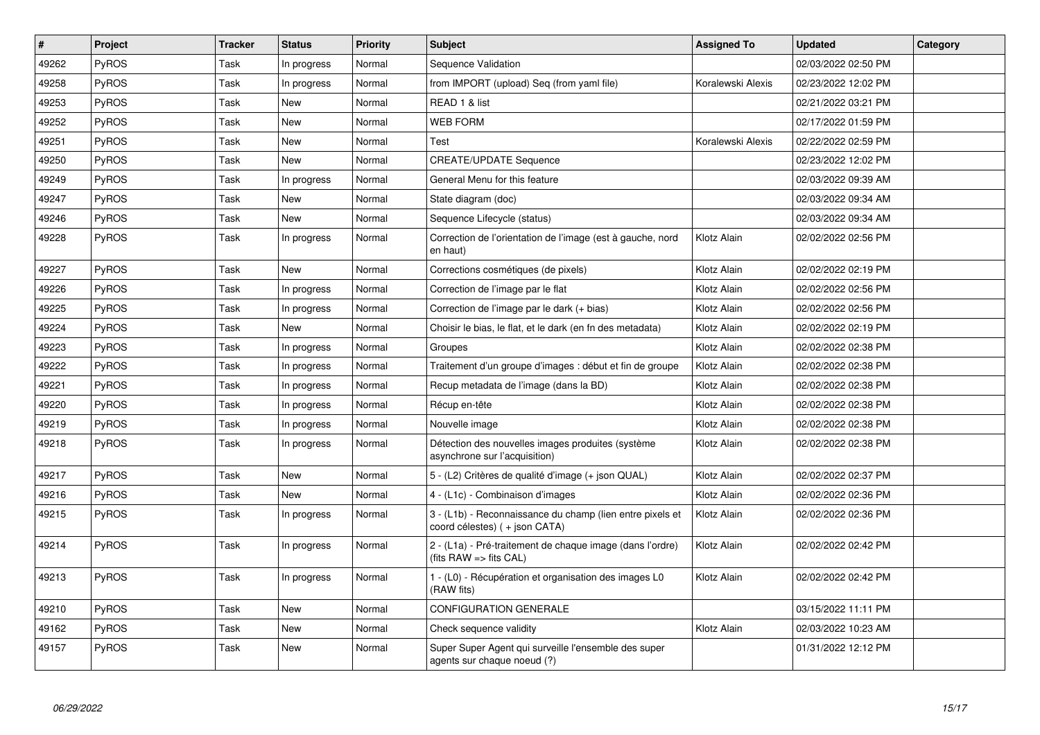| $\vert$ # | Project      | <b>Tracker</b> | <b>Status</b> | Priority | <b>Subject</b>                                                                             | <b>Assigned To</b> | <b>Updated</b>      | Category |
|-----------|--------------|----------------|---------------|----------|--------------------------------------------------------------------------------------------|--------------------|---------------------|----------|
| 49262     | PyROS        | Task           | In progress   | Normal   | Sequence Validation                                                                        |                    | 02/03/2022 02:50 PM |          |
| 49258     | <b>PyROS</b> | Task           | In progress   | Normal   | from IMPORT (upload) Seq (from yaml file)                                                  | Koralewski Alexis  | 02/23/2022 12:02 PM |          |
| 49253     | PyROS        | Task           | New           | Normal   | READ 1 & list                                                                              |                    | 02/21/2022 03:21 PM |          |
| 49252     | PyROS        | Task           | <b>New</b>    | Normal   | <b>WEB FORM</b>                                                                            |                    | 02/17/2022 01:59 PM |          |
| 49251     | PyROS        | Task           | New           | Normal   | Test                                                                                       | Koralewski Alexis  | 02/22/2022 02:59 PM |          |
| 49250     | PyROS        | Task           | New           | Normal   | <b>CREATE/UPDATE Sequence</b>                                                              |                    | 02/23/2022 12:02 PM |          |
| 49249     | PyROS        | Task           | In progress   | Normal   | General Menu for this feature                                                              |                    | 02/03/2022 09:39 AM |          |
| 49247     | PyROS        | Task           | New           | Normal   | State diagram (doc)                                                                        |                    | 02/03/2022 09:34 AM |          |
| 49246     | PyROS        | Task           | New           | Normal   | Sequence Lifecycle (status)                                                                |                    | 02/03/2022 09:34 AM |          |
| 49228     | <b>PyROS</b> | Task           | In progress   | Normal   | Correction de l'orientation de l'image (est à gauche, nord<br>en haut)                     | Klotz Alain        | 02/02/2022 02:56 PM |          |
| 49227     | PyROS        | Task           | <b>New</b>    | Normal   | Corrections cosmétiques (de pixels)                                                        | Klotz Alain        | 02/02/2022 02:19 PM |          |
| 49226     | PyROS        | Task           | In progress   | Normal   | Correction de l'image par le flat                                                          | Klotz Alain        | 02/02/2022 02:56 PM |          |
| 49225     | PyROS        | Task           | In progress   | Normal   | Correction de l'image par le dark (+ bias)                                                 | Klotz Alain        | 02/02/2022 02:56 PM |          |
| 49224     | PyROS        | Task           | <b>New</b>    | Normal   | Choisir le bias, le flat, et le dark (en fn des metadata)                                  | Klotz Alain        | 02/02/2022 02:19 PM |          |
| 49223     | <b>PyROS</b> | Task           | In progress   | Normal   | Groupes                                                                                    | Klotz Alain        | 02/02/2022 02:38 PM |          |
| 49222     | PyROS        | Task           | In progress   | Normal   | Traitement d'un groupe d'images : début et fin de groupe                                   | Klotz Alain        | 02/02/2022 02:38 PM |          |
| 49221     | PyROS        | Task           | In progress   | Normal   | Recup metadata de l'image (dans la BD)                                                     | Klotz Alain        | 02/02/2022 02:38 PM |          |
| 49220     | PyROS        | Task           | In progress   | Normal   | Récup en-tête                                                                              | Klotz Alain        | 02/02/2022 02:38 PM |          |
| 49219     | <b>PyROS</b> | Task           | In progress   | Normal   | Nouvelle image                                                                             | Klotz Alain        | 02/02/2022 02:38 PM |          |
| 49218     | PyROS        | Task           | In progress   | Normal   | Détection des nouvelles images produites (système<br>asynchrone sur l'acquisition)         | Klotz Alain        | 02/02/2022 02:38 PM |          |
| 49217     | PyROS        | Task           | <b>New</b>    | Normal   | 5 - (L2) Critères de qualité d'image (+ json QUAL)                                         | Klotz Alain        | 02/02/2022 02:37 PM |          |
| 49216     | PyROS        | Task           | <b>New</b>    | Normal   | 4 - (L1c) - Combinaison d'images                                                           | Klotz Alain        | 02/02/2022 02:36 PM |          |
| 49215     | PyROS        | Task           | In progress   | Normal   | 3 - (L1b) - Reconnaissance du champ (lien entre pixels et<br>coord célestes) (+ json CATA) | Klotz Alain        | 02/02/2022 02:36 PM |          |
| 49214     | PyROS        | Task           | In progress   | Normal   | 2 - (L1a) - Pré-traitement de chaque image (dans l'ordre)<br>(fits RAW => fits CAL)        | Klotz Alain        | 02/02/2022 02:42 PM |          |
| 49213     | <b>PyROS</b> | Task           | In progress   | Normal   | 1 - (L0) - Récupération et organisation des images L0<br>(RAW fits)                        | Klotz Alain        | 02/02/2022 02:42 PM |          |
| 49210     | PyROS        | Task           | New           | Normal   | CONFIGURATION GENERALE                                                                     |                    | 03/15/2022 11:11 PM |          |
| 49162     | <b>PyROS</b> | Task           | <b>New</b>    | Normal   | Check sequence validity                                                                    | Klotz Alain        | 02/03/2022 10:23 AM |          |
| 49157     | PyROS        | Task           | New           | Normal   | Super Super Agent qui surveille l'ensemble des super<br>agents sur chaque noeud (?)        |                    | 01/31/2022 12:12 PM |          |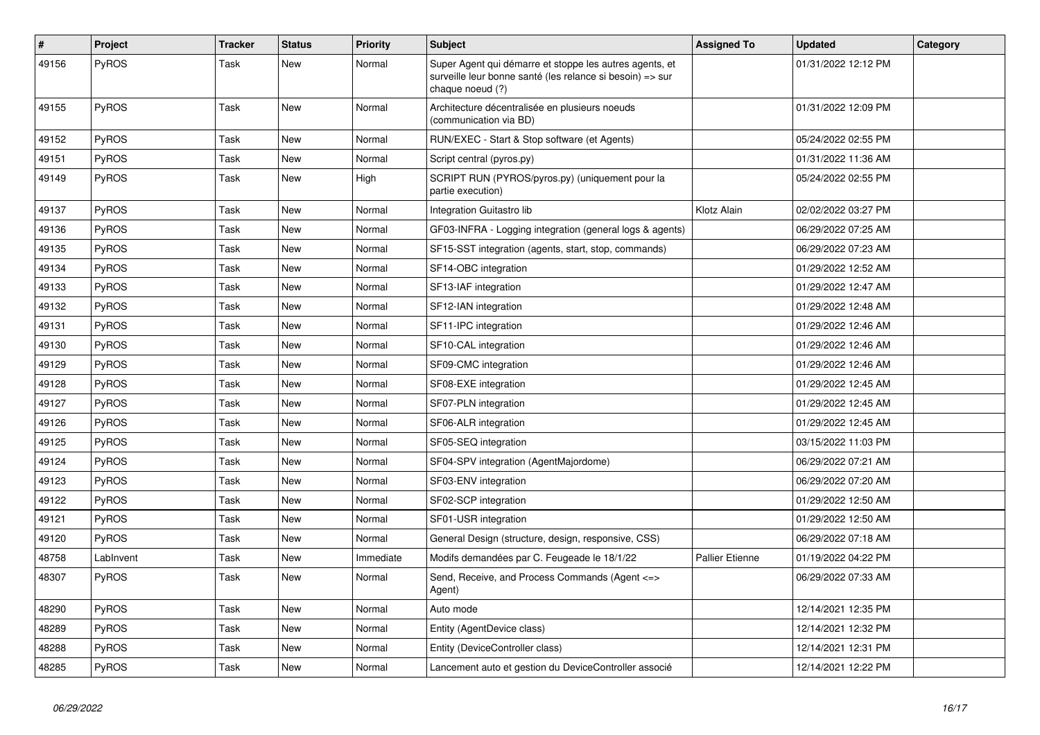| $\vert$ # | <b>Project</b> | <b>Tracker</b> | <b>Status</b> | <b>Priority</b> | <b>Subject</b>                                                                                                                           | <b>Assigned To</b>     | <b>Updated</b>      | Category |
|-----------|----------------|----------------|---------------|-----------------|------------------------------------------------------------------------------------------------------------------------------------------|------------------------|---------------------|----------|
| 49156     | PyROS          | Task           | <b>New</b>    | Normal          | Super Agent qui démarre et stoppe les autres agents, et<br>surveille leur bonne santé (les relance si besoin) => sur<br>chaque noeud (?) |                        | 01/31/2022 12:12 PM |          |
| 49155     | PyROS          | Task           | <b>New</b>    | Normal          | Architecture décentralisée en plusieurs noeuds<br>(communication via BD)                                                                 |                        | 01/31/2022 12:09 PM |          |
| 49152     | <b>PyROS</b>   | Task           | New           | Normal          | RUN/EXEC - Start & Stop software (et Agents)                                                                                             |                        | 05/24/2022 02:55 PM |          |
| 49151     | PyROS          | Task           | New           | Normal          | Script central (pyros.py)                                                                                                                |                        | 01/31/2022 11:36 AM |          |
| 49149     | PyROS          | Task           | New           | High            | SCRIPT RUN (PYROS/pyros.py) (uniquement pour la<br>partie execution)                                                                     |                        | 05/24/2022 02:55 PM |          |
| 49137     | PyROS          | Task           | New           | Normal          | Integration Guitastro lib                                                                                                                | Klotz Alain            | 02/02/2022 03:27 PM |          |
| 49136     | PyROS          | Task           | New           | Normal          | GF03-INFRA - Logging integration (general logs & agents)                                                                                 |                        | 06/29/2022 07:25 AM |          |
| 49135     | <b>PyROS</b>   | Task           | <b>New</b>    | Normal          | SF15-SST integration (agents, start, stop, commands)                                                                                     |                        | 06/29/2022 07:23 AM |          |
| 49134     | PyROS          | Task           | New           | Normal          | SF14-OBC integration                                                                                                                     |                        | 01/29/2022 12:52 AM |          |
| 49133     | PyROS          | Task           | <b>New</b>    | Normal          | SF13-IAF integration                                                                                                                     |                        | 01/29/2022 12:47 AM |          |
| 49132     | PyROS          | Task           | <b>New</b>    | Normal          | SF12-IAN integration                                                                                                                     |                        | 01/29/2022 12:48 AM |          |
| 49131     | PyROS          | Task           | New           | Normal          | SF11-IPC integration                                                                                                                     |                        | 01/29/2022 12:46 AM |          |
| 49130     | <b>PyROS</b>   | Task           | New           | Normal          | SF10-CAL integration                                                                                                                     |                        | 01/29/2022 12:46 AM |          |
| 49129     | PyROS          | Task           | New           | Normal          | SF09-CMC integration                                                                                                                     |                        | 01/29/2022 12:46 AM |          |
| 49128     | PyROS          | Task           | <b>New</b>    | Normal          | SF08-EXE integration                                                                                                                     |                        | 01/29/2022 12:45 AM |          |
| 49127     | PyROS          | Task           | New           | Normal          | SF07-PLN integration                                                                                                                     |                        | 01/29/2022 12:45 AM |          |
| 49126     | <b>PyROS</b>   | Task           | New           | Normal          | SF06-ALR integration                                                                                                                     |                        | 01/29/2022 12:45 AM |          |
| 49125     | PyROS          | Task           | New           | Normal          | SF05-SEQ integration                                                                                                                     |                        | 03/15/2022 11:03 PM |          |
| 49124     | PyROS          | Task           | New           | Normal          | SF04-SPV integration (AgentMajordome)                                                                                                    |                        | 06/29/2022 07:21 AM |          |
| 49123     | PyROS          | Task           | New           | Normal          | SF03-ENV integration                                                                                                                     |                        | 06/29/2022 07:20 AM |          |
| 49122     | <b>PyROS</b>   | Task           | New           | Normal          | SF02-SCP integration                                                                                                                     |                        | 01/29/2022 12:50 AM |          |
| 49121     | PyROS          | Task           | <b>New</b>    | Normal          | SF01-USR integration                                                                                                                     |                        | 01/29/2022 12:50 AM |          |
| 49120     | PyROS          | Task           | New           | Normal          | General Design (structure, design, responsive, CSS)                                                                                      |                        | 06/29/2022 07:18 AM |          |
| 48758     | LabInvent      | Task           | New           | Immediate       | Modifs demandées par C. Feugeade le 18/1/22                                                                                              | <b>Pallier Etienne</b> | 01/19/2022 04:22 PM |          |
| 48307     | <b>PyROS</b>   | Task           | New           | Normal          | Send, Receive, and Process Commands (Agent <=><br>Agent)                                                                                 |                        | 06/29/2022 07:33 AM |          |
| 48290     | PyROS          | Task           | <b>New</b>    | Normal          | Auto mode                                                                                                                                |                        | 12/14/2021 12:35 PM |          |
| 48289     | PyROS          | Task           | New           | Normal          | Entity (AgentDevice class)                                                                                                               |                        | 12/14/2021 12:32 PM |          |
| 48288     | PyROS          | Task           | <b>New</b>    | Normal          | Entity (DeviceController class)                                                                                                          |                        | 12/14/2021 12:31 PM |          |
| 48285     | PyROS          | Task           | New           | Normal          | Lancement auto et gestion du DeviceController associé                                                                                    |                        | 12/14/2021 12:22 PM |          |